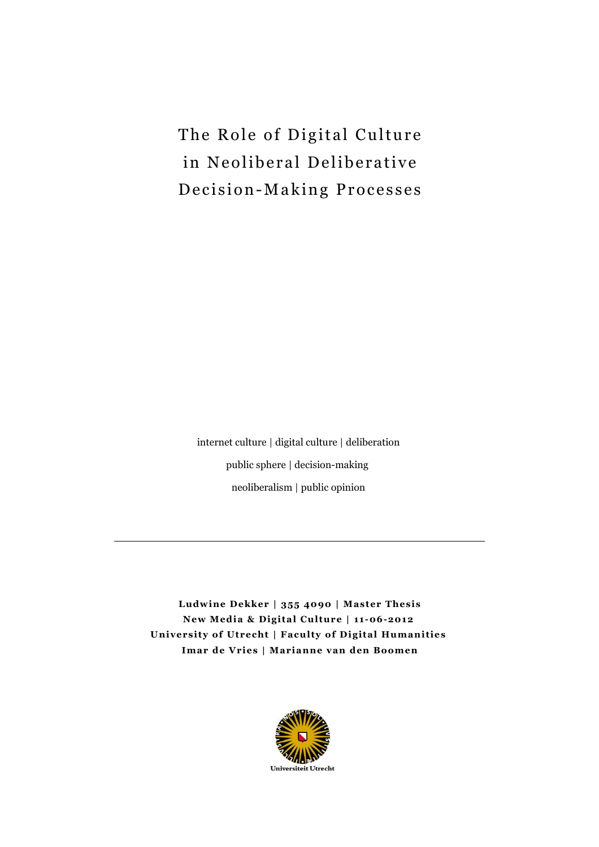The Role of Digital Culture in Neoliberal Deliberative Decision-Making Processes

internet culture | digital culture | deliberation public sphere | decision-making neoliberalism | public opinion

**Ludwine Dekker | 355 4090 | Master Thesis New Media & Digital Culture | 11-06-2012 University of Utrecht | Faculty of Digital Humanities Imar de Vries | Marianne van den Boomen**

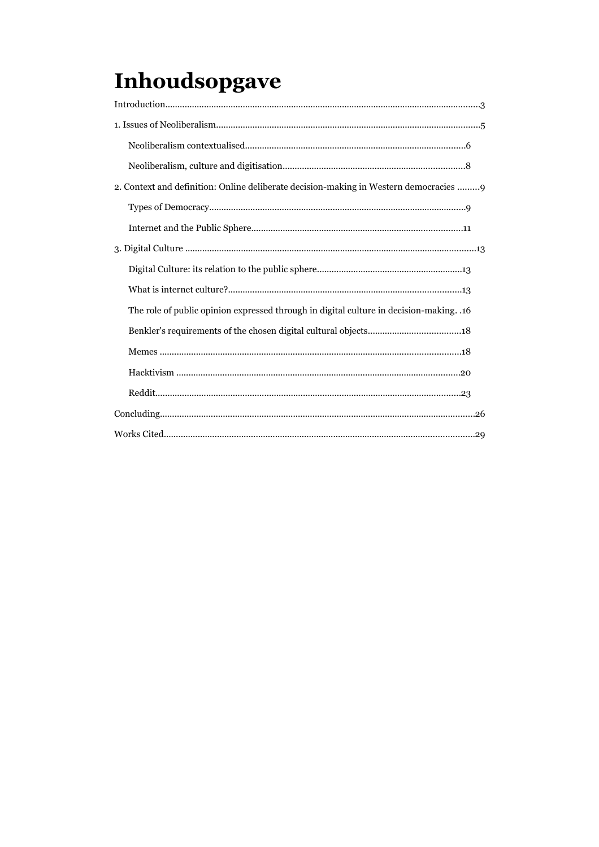# Inhoudsopgave

| 2. Context and definition: Online deliberate decision-making in Western democracies 9       |
|---------------------------------------------------------------------------------------------|
|                                                                                             |
|                                                                                             |
|                                                                                             |
|                                                                                             |
|                                                                                             |
| 16. The role of public opinion expressed through in digital culture in decision-making. .16 |
|                                                                                             |
|                                                                                             |
|                                                                                             |
|                                                                                             |
|                                                                                             |
|                                                                                             |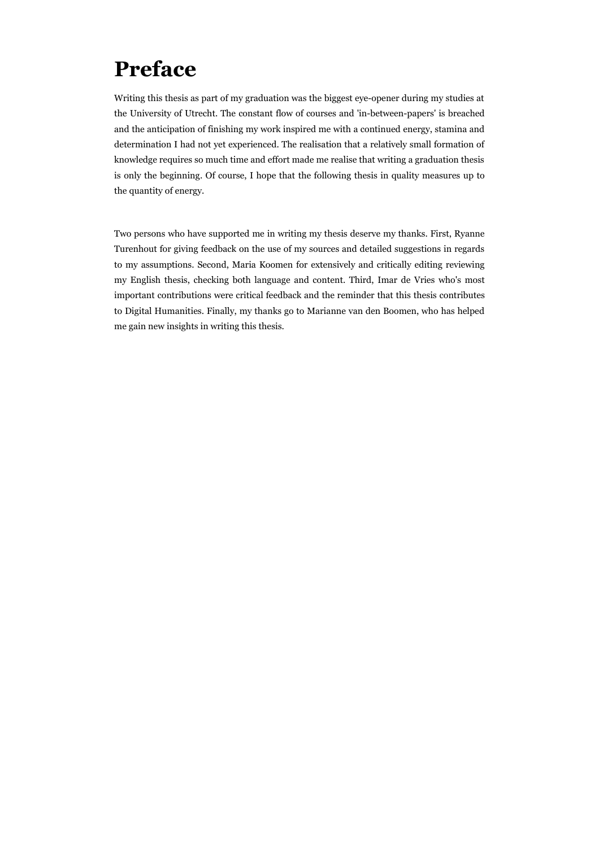## **Preface**

Writing this thesis as part of my graduation was the biggest eye-opener during my studies at the University of Utrecht. The constant flow of courses and 'in-between-papers' is breached and the anticipation of finishing my work inspired me with a continued energy, stamina and determination I had not yet experienced. The realisation that a relatively small formation of knowledge requires so much time and effort made me realise that writing a graduation thesis is only the beginning. Of course, I hope that the following thesis in quality measures up to the quantity of energy.

Two persons who have supported me in writing my thesis deserve my thanks. First, Ryanne Turenhout for giving feedback on the use of my sources and detailed suggestions in regards to my assumptions. Second, Maria Koomen for extensively and critically editing reviewing my English thesis, checking both language and content. Third, Imar de Vries who's most important contributions were critical feedback and the reminder that this thesis contributes to Digital Humanities. Finally, my thanks go to Marianne van den Boomen, who has helped me gain new insights in writing this thesis.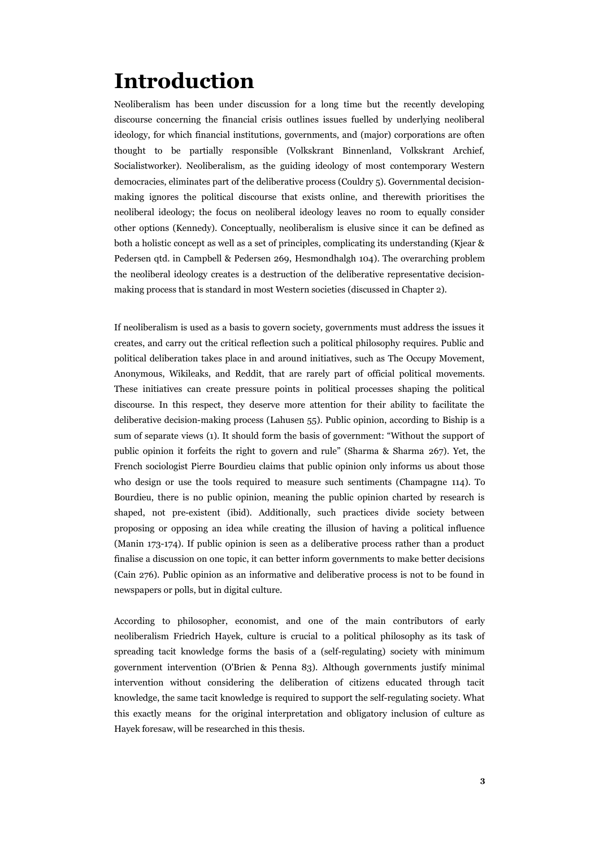## **Introduction**

Neoliberalism has been under discussion for a long time but the recently developing discourse concerning the financial crisis outlines issues fuelled by underlying neoliberal ideology, for which financial institutions, governments, and (major) corporations are often thought to be partially responsible (Volkskrant Binnenland, Volkskrant Archief, Socialistworker). Neoliberalism, as the guiding ideology of most contemporary Western democracies, eliminates part of the deliberative process (Couldry 5). Governmental decisionmaking ignores the political discourse that exists online, and therewith prioritises the neoliberal ideology; the focus on neoliberal ideology leaves no room to equally consider other options (Kennedy). Conceptually, neoliberalism is elusive since it can be defined as both a holistic concept as well as a set of principles, complicating its understanding (Kjear & Pedersen qtd. in Campbell & Pedersen 269, Hesmondhalgh 104). The overarching problem the neoliberal ideology creates is a destruction of the deliberative representative decisionmaking process that is standard in most Western societies (discussed in Chapter 2).

If neoliberalism is used as a basis to govern society, governments must address the issues it creates, and carry out the critical reflection such a political philosophy requires. Public and political deliberation takes place in and around initiatives, such as The Occupy Movement, Anonymous, Wikileaks, and Reddit, that are rarely part of official political movements. These initiatives can create pressure points in political processes shaping the political discourse. In this respect, they deserve more attention for their ability to facilitate the deliberative decision-making process (Lahusen 55). Public opinion, according to Biship is a sum of separate views (1). It should form the basis of government: "Without the support of public opinion it forfeits the right to govern and rule" (Sharma & Sharma 267). Yet, the French sociologist Pierre Bourdieu claims that public opinion only informs us about those who design or use the tools required to measure such sentiments (Champagne 114). To Bourdieu, there is no public opinion, meaning the public opinion charted by research is shaped, not pre-existent (ibid). Additionally, such practices divide society between proposing or opposing an idea while creating the illusion of having a political influence (Manin 173-174). If public opinion is seen as a deliberative process rather than a product finalise a discussion on one topic, it can better inform governments to make better decisions (Cain 276). Public opinion as an informative and deliberative process is not to be found in newspapers or polls, but in digital culture.

According to philosopher, economist, and one of the main contributors of early neoliberalism Friedrich Hayek, culture is crucial to a political philosophy as its task of spreading tacit knowledge forms the basis of a (self-regulating) society with minimum government intervention (O'Brien & Penna 83). Although governments justify minimal intervention without considering the deliberation of citizens educated through tacit knowledge, the same tacit knowledge is required to support the self-regulating society. What this exactly means for the original interpretation and obligatory inclusion of culture as Hayek foresaw, will be researched in this thesis.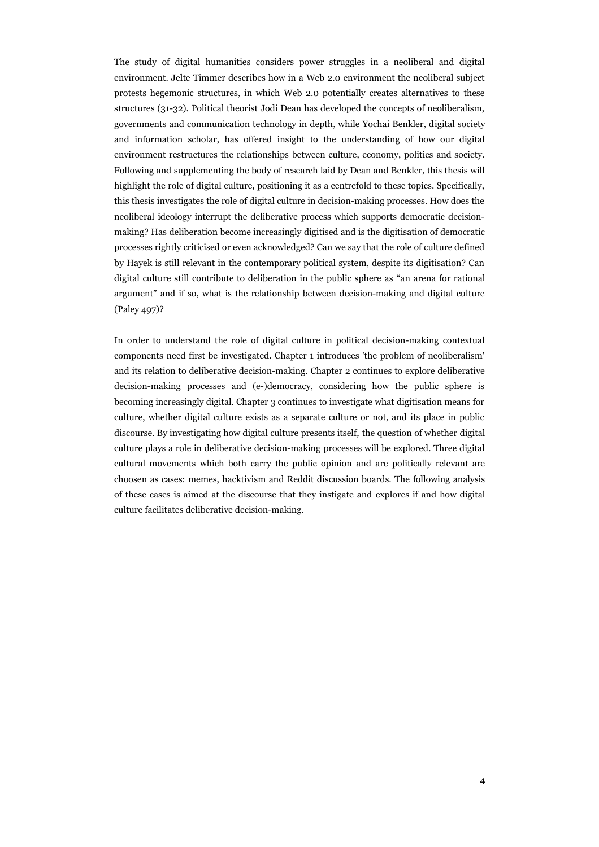The study of digital humanities considers power struggles in a neoliberal and digital environment. Jelte Timmer describes how in a Web 2.0 environment the neoliberal subject protests hegemonic structures, in which Web 2.0 potentially creates alternatives to these structures (31-32). Political theorist Jodi Dean has developed the concepts of neoliberalism, governments and communication technology in depth, while Yochai Benkler, digital society and information scholar, has offered insight to the understanding of how our digital environment restructures the relationships between culture, economy, politics and society. Following and supplementing the body of research laid by Dean and Benkler, this thesis will highlight the role of digital culture, positioning it as a centrefold to these topics. Specifically, this thesis investigates the role of digital culture in decision-making processes. How does the neoliberal ideology interrupt the deliberative process which supports democratic decisionmaking? Has deliberation become increasingly digitised and is the digitisation of democratic processes rightly criticised or even acknowledged? Can we say that the role of culture defined by Hayek is still relevant in the contemporary political system, despite its digitisation? Can digital culture still contribute to deliberation in the public sphere as "an arena for rational argument" and if so, what is the relationship between decision-making and digital culture (Paley 497)?

In order to understand the role of digital culture in political decision-making contextual components need first be investigated. Chapter 1 introduces 'the problem of neoliberalism' and its relation to deliberative decision-making. Chapter 2 continues to explore deliberative decision-making processes and (e-)democracy, considering how the public sphere is becoming increasingly digital. Chapter 3 continues to investigate what digitisation means for culture, whether digital culture exists as a separate culture or not, and its place in public discourse. By investigating how digital culture presents itself, the question of whether digital culture plays a role in deliberative decision-making processes will be explored. Three digital cultural movements which both carry the public opinion and are politically relevant are choosen as cases: memes, hacktivism and Reddit discussion boards. The following analysis of these cases is aimed at the discourse that they instigate and explores if and how digital culture facilitates deliberative decision-making.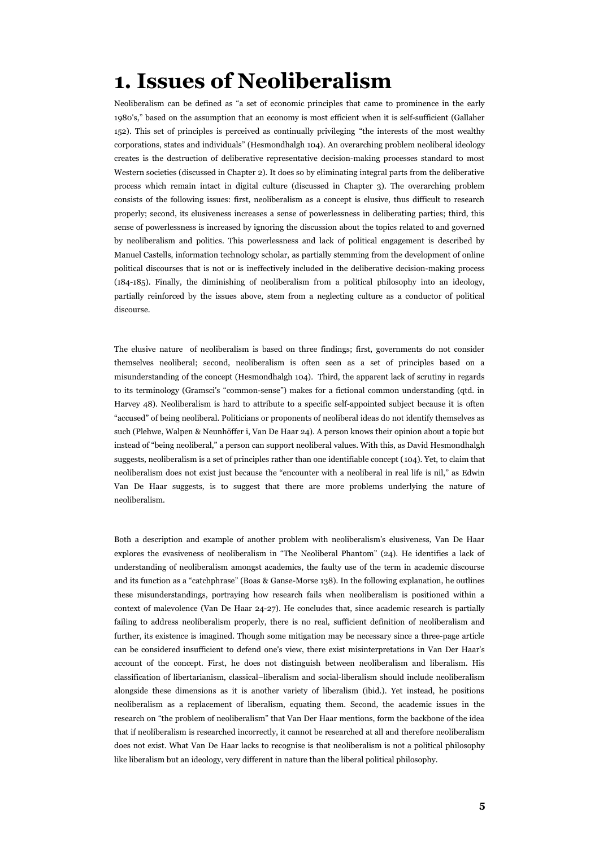## **1. Issues of Neoliberalism**

Neoliberalism can be defined as "a set of economic principles that came to prominence in the early 1980's," based on the assumption that an economy is most efficient when it is self-sufficient (Gallaher 152). This set of principles is perceived as continually privileging "the interests of the most wealthy corporations, states and individuals" (Hesmondhalgh 104). An overarching problem neoliberal ideology creates is the destruction of deliberative representative decision-making processes standard to most Western societies (discussed in Chapter 2). It does so by eliminating integral parts from the deliberative process which remain intact in digital culture (discussed in Chapter 3). The overarching problem consists of the following issues: first, neoliberalism as a concept is elusive, thus difficult to research properly; second, its elusiveness increases a sense of powerlessness in deliberating parties; third, this sense of powerlessness is increased by ignoring the discussion about the topics related to and governed by neoliberalism and politics. This powerlessness and lack of political engagement is described by Manuel Castells, information technology scholar, as partially stemming from the development of online political discourses that is not or is ineffectively included in the deliberative decision-making process (184-185). Finally, the diminishing of neoliberalism from a political philosophy into an ideology, partially reinforced by the issues above, stem from a neglecting culture as a conductor of political discourse.

The elusive nature of neoliberalism is based on three findings; first, governments do not consider themselves neoliberal; second, neoliberalism is often seen as a set of principles based on a misunderstanding of the concept (Hesmondhalgh 104). Third, the apparent lack of scrutiny in regards to its terminology (Gramsci's "common-sense") makes for a fictional common understanding (qtd. in Harvey 48). Neoliberalism is hard to attribute to a specific self-appointed subject because it is often "accused" of being neoliberal. Politicians or proponents of neoliberal ideas do not identify themselves as such (Plehwe, Walpen & Neunhöffer i, Van De Haar 24). A person knows their opinion about a topic but instead of "being neoliberal," a person can support neoliberal values. With this, as David Hesmondhalgh suggests, neoliberalism is a set of principles rather than one identifiable concept (104). Yet, to claim that neoliberalism does not exist just because the "encounter with a neoliberal in real life is nil," as Edwin Van De Haar suggests, is to suggest that there are more problems underlying the nature of neoliberalism.

Both a description and example of another problem with neoliberalism's elusiveness, Van De Haar explores the evasiveness of neoliberalism in "The Neoliberal Phantom" (24). He identifies a lack of understanding of neoliberalism amongst academics, the faulty use of the term in academic discourse and its function as a "catchphrase" (Boas & Ganse-Morse 138). In the following explanation, he outlines these misunderstandings, portraying how research fails when neoliberalism is positioned within a context of malevolence (Van De Haar 24-27). He concludes that, since academic research is partially failing to address neoliberalism properly, there is no real, sufficient definition of neoliberalism and further, its existence is imagined. Though some mitigation may be necessary since a three-page article can be considered insufficient to defend one's view, there exist misinterpretations in Van Der Haar's account of the concept. First, he does not distinguish between neoliberalism and liberalism. His classification of libertarianism, classical–liberalism and social-liberalism should include neoliberalism alongside these dimensions as it is another variety of liberalism (ibid.). Yet instead, he positions neoliberalism as a replacement of liberalism, equating them. Second, the academic issues in the research on "the problem of neoliberalism" that Van Der Haar mentions, form the backbone of the idea that if neoliberalism is researched incorrectly, it cannot be researched at all and therefore neoliberalism does not exist. What Van De Haar lacks to recognise is that neoliberalism is not a political philosophy like liberalism but an ideology, very different in nature than the liberal political philosophy.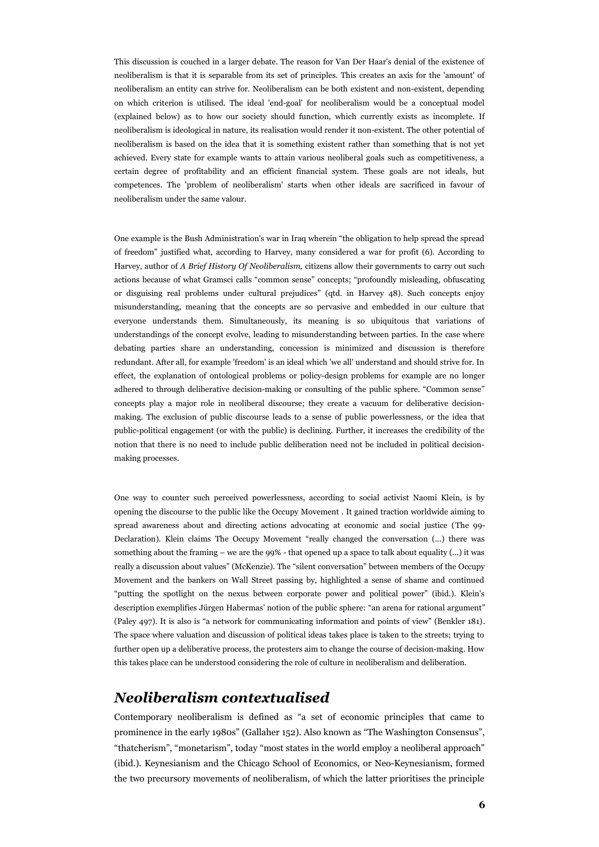This discussion is couched in a larger debate. The reason for Van Der Haar's denial of the existence of neoliberalism is that it is separable from its set of principles. This creates an axis for the 'amount' of neoliberalism an entity can strive for. Neoliberalism can be both existent and non-existent, depending on which criterion is utilised. The ideal 'end-goal' for neoliberalism would be a conceptual model (explained below) as to how our society should function, which currently exists as incomplete. If neoliberalism is ideological in nature, its realisation would render it non-existent. The other potential of neoliberalism is based on the idea that it is something existent rather than something that is not yet achieved. Every state for example wants to attain various neoliberal goals such as competitiveness, a certain degree of profitability and an efficient financial system. These goals are not ideals, but competences. The 'problem of neoliberalism' starts when other ideals are sacrificed in favour of neoliberalism under the same valour.

One example is the Bush Administration's war in Iraq wherein "the obligation to help spread the spread of freedom" justified what, according to Harvey, many considered a war for profit (6). According to Harvey, author of *A Brief History Of Neoliberalism,* citizens allow their governments to carry out such actions because of what Gramsci calls "common sense" concepts; "profoundly misleading, obfuscating or disguising real problems under cultural prejudices" (qtd. in Harvey 48). Such concepts enjoy misunderstanding, meaning that the concepts are so pervasive and embedded in our culture that everyone understands them. Simultaneously, its meaning is so ubiquitous that variations of understandings of the concept evolve, leading to misunderstanding between parties. In the case where debating parties share an understanding, concession is minimized and discussion is therefore redundant. After all, for example 'freedom' is an ideal which 'we all' understand and should strive for. In effect, the explanation of ontological problems or policy-design problems for example are no longer adhered to through deliberative decision-making or consulting of the public sphere. "Common sense" concepts play a major role in neoliberal discourse; they create a vacuum for deliberative decisionmaking. The exclusion of public discourse leads to a sense of public powerlessness, or the idea that public-political engagement (or with the public) is declining. Further, it increases the credibility of the notion that there is no need to include public deliberation need not be included in political decisionmaking processes.

One way to counter such perceived powerlessness, according to social activist Naomi Klein, is by opening the discourse to the public like the Occupy Movement . It gained traction worldwide aiming to spread awareness about and directing actions advocating at economic and social justice (The 99- Declaration). Klein claims The Occupy Movement "really changed the conversation (...) there was something about the framing – we are the 99% - that opened up a space to talk about equality (...) it was really a discussion about values" (McKenzie). The "silent conversation" between members of the Occupy Movement and the bankers on Wall Street passing by, highlighted a sense of shame and continued "putting the spotlight on the nexus between corporate power and political power" (ibid.). Klein's description exemplifies Jürgen Habermas' notion of the public sphere: "an arena for rational argument" (Paley 497). It is also is "a network for communicating information and points of view" (Benkler 181). The space where valuation and discussion of political ideas takes place is taken to the streets; trying to further open up a deliberative process, the protesters aim to change the course of decision-making. How this takes place can be understood considering the role of culture in neoliberalism and deliberation.

#### *Neoliberalism contextualised*

Contemporary neoliberalism is defined as "a set of economic principles that came to prominence in the early 1980s" (Gallaher 152). Also known as "The Washington Consensus", "thatcherism", "monetarism", today "most states in the world employ a neoliberal approach" (ibid.). Keynesianism and the Chicago School of Economics, or Neo-Keynesianism, formed the two precursory movements of neoliberalism, of which the latter prioritises the principle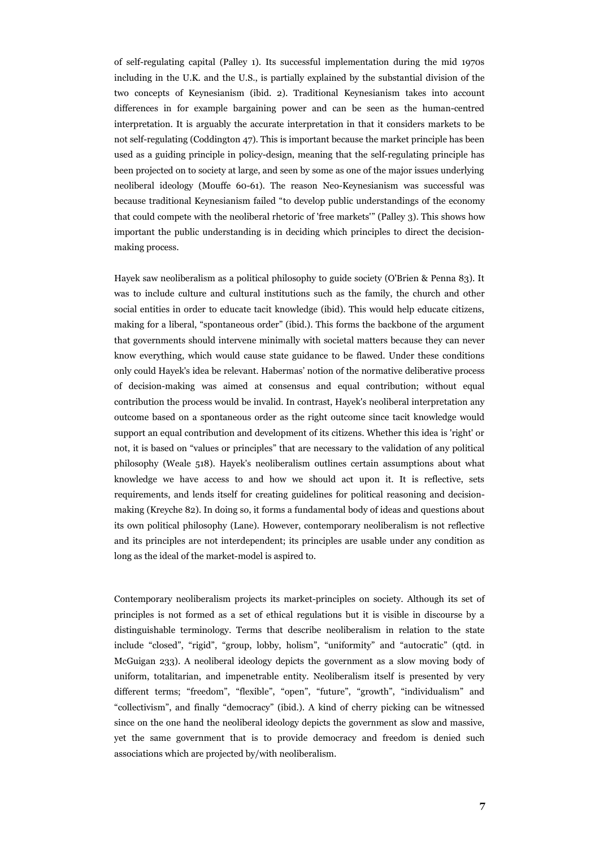of self-regulating capital (Palley 1). Its successful implementation during the mid 1970s including in the U.K. and the U.S., is partially explained by the substantial division of the two concepts of Keynesianism (ibid. 2). Traditional Keynesianism takes into account differences in for example bargaining power and can be seen as the human-centred interpretation. It is arguably the accurate interpretation in that it considers markets to be not self-regulating (Coddington 47). This is important because the market principle has been used as a guiding principle in policy-design, meaning that the self-regulating principle has been projected on to society at large, and seen by some as one of the major issues underlying neoliberal ideology (Mouffe 60-61). The reason Neo-Keynesianism was successful was because traditional Keynesianism failed "to develop public understandings of the economy that could compete with the neoliberal rhetoric of 'free markets'" (Palley 3). This shows how important the public understanding is in deciding which principles to direct the decisionmaking process.

Hayek saw neoliberalism as a political philosophy to guide society (O'Brien & Penna 83). It was to include culture and cultural institutions such as the family, the church and other social entities in order to educate tacit knowledge (ibid). This would help educate citizens, making for a liberal, "spontaneous order" (ibid.). This forms the backbone of the argument that governments should intervene minimally with societal matters because they can never know everything, which would cause state guidance to be flawed. Under these conditions only could Hayek's idea be relevant. Habermas' notion of the normative deliberative process of decision-making was aimed at consensus and equal contribution; without equal contribution the process would be invalid. In contrast, Hayek's neoliberal interpretation any outcome based on a spontaneous order as the right outcome since tacit knowledge would support an equal contribution and development of its citizens. Whether this idea is 'right' or not, it is based on "values or principles" that are necessary to the validation of any political philosophy (Weale 518). Hayek's neoliberalism outlines certain assumptions about what knowledge we have access to and how we should act upon it. It is reflective, sets requirements, and lends itself for creating guidelines for political reasoning and decisionmaking (Kreyche 82). In doing so, it forms a fundamental body of ideas and questions about its own political philosophy (Lane). However, contemporary neoliberalism is not reflective and its principles are not interdependent; its principles are usable under any condition as long as the ideal of the market-model is aspired to.

Contemporary neoliberalism projects its market-principles on society. Although its set of principles is not formed as a set of ethical regulations but it is visible in discourse by a distinguishable terminology. Terms that describe neoliberalism in relation to the state include "closed", "rigid", "group, lobby, holism", "uniformity" and "autocratic" (qtd. in McGuigan 233). A neoliberal ideology depicts the government as a slow moving body of uniform, totalitarian, and impenetrable entity. Neoliberalism itself is presented by very different terms; "freedom", "flexible", "open", "future", "growth", "individualism" and "collectivism", and finally "democracy" (ibid.). A kind of cherry picking can be witnessed since on the one hand the neoliberal ideology depicts the government as slow and massive, yet the same government that is to provide democracy and freedom is denied such associations which are projected by/with neoliberalism.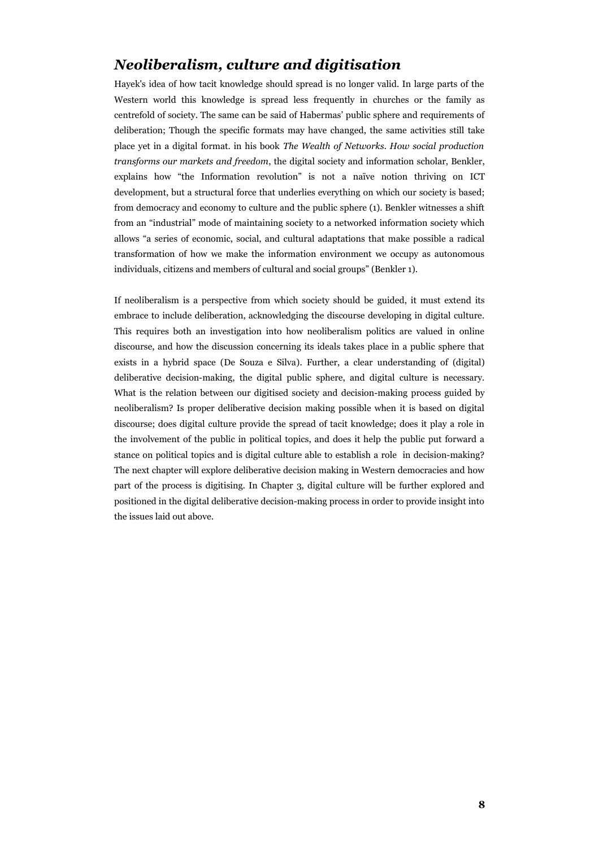#### *Neoliberalism, culture and digitisation*

Hayek's idea of how tacit knowledge should spread is no longer valid. In large parts of the Western world this knowledge is spread less frequently in churches or the family as centrefold of society. The same can be said of Habermas' public sphere and requirements of deliberation; Though the specific formats may have changed, the same activities still take place yet in a digital format. in his book *The Wealth of Networks. How social production transforms our markets and freedom*, the digital society and information scholar, Benkler, explains how "the Information revolution" is not a naïve notion thriving on ICT development, but a structural force that underlies everything on which our society is based; from democracy and economy to culture and the public sphere (1). Benkler witnesses a shift from an "industrial" mode of maintaining society to a networked information society which allows "a series of economic, social, and cultural adaptations that make possible a radical transformation of how we make the information environment we occupy as autonomous individuals, citizens and members of cultural and social groups" (Benkler 1).

If neoliberalism is a perspective from which society should be guided, it must extend its embrace to include deliberation, acknowledging the discourse developing in digital culture. This requires both an investigation into how neoliberalism politics are valued in online discourse, and how the discussion concerning its ideals takes place in a public sphere that exists in a hybrid space (De Souza e Silva). Further, a clear understanding of (digital) deliberative decision-making, the digital public sphere, and digital culture is necessary. What is the relation between our digitised society and decision-making process guided by neoliberalism? Is proper deliberative decision making possible when it is based on digital discourse; does digital culture provide the spread of tacit knowledge; does it play a role in the involvement of the public in political topics, and does it help the public put forward a stance on political topics and is digital culture able to establish a role in decision-making? The next chapter will explore deliberative decision making in Western democracies and how part of the process is digitising. In Chapter 3, digital culture will be further explored and positioned in the digital deliberative decision-making process in order to provide insight into the issues laid out above.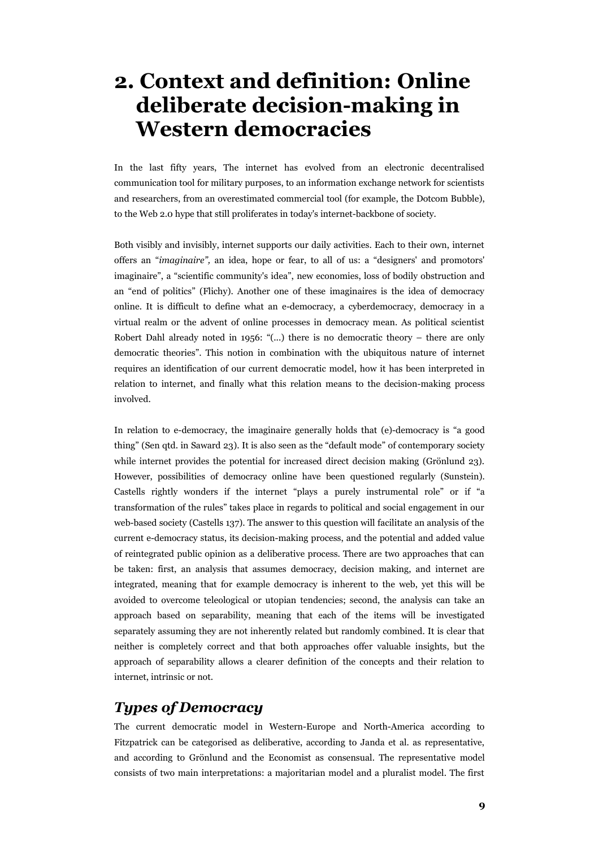## **2. Context and definition: Online deliberate decision-making in Western democracies**

In the last fifty years, The internet has evolved from an electronic decentralised communication tool for military purposes, to an information exchange network for scientists and researchers, from an overestimated commercial tool (for example, the Dotcom Bubble), to the Web 2.0 hype that still proliferates in today's internet-backbone of society.

Both visibly and invisibly, internet supports our daily activities. Each to their own, internet offers an "*imaginaire",* an idea, hope or fear, to all of us: a "designers' and promotors' imaginaire", a "scientific community's idea", new economies, loss of bodily obstruction and an "end of politics" (Flichy). Another one of these imaginaires is the idea of democracy online. It is difficult to define what an e-democracy, a cyberdemocracy, democracy in a virtual realm or the advent of online processes in democracy mean. As political scientist Robert Dahl already noted in 1956: "(...) there is no democratic theory – there are only democratic theories". This notion in combination with the ubiquitous nature of internet requires an identification of our current democratic model, how it has been interpreted in relation to internet, and finally what this relation means to the decision-making process involved.

In relation to e-democracy, the imaginaire generally holds that (e)-democracy is "a good thing" (Sen qtd. in Saward 23). It is also seen as the "default mode" of contemporary society while internet provides the potential for increased direct decision making (Grönlund 23). However, possibilities of democracy online have been questioned regularly (Sunstein). Castells rightly wonders if the internet "plays a purely instrumental role" or if "a transformation of the rules" takes place in regards to political and social engagement in our web-based society (Castells 137). The answer to this question will facilitate an analysis of the current e-democracy status, its decision-making process, and the potential and added value of reintegrated public opinion as a deliberative process. There are two approaches that can be taken: first, an analysis that assumes democracy, decision making, and internet are integrated, meaning that for example democracy is inherent to the web, yet this will be avoided to overcome teleological or utopian tendencies; second, the analysis can take an approach based on separability, meaning that each of the items will be investigated separately assuming they are not inherently related but randomly combined. It is clear that neither is completely correct and that both approaches offer valuable insights, but the approach of separability allows a clearer definition of the concepts and their relation to internet, intrinsic or not.

#### *Types of Democracy*

The current democratic model in Western-Europe and North-America according to Fitzpatrick can be categorised as deliberative, according to Janda et al. as representative, and according to Grönlund and the Economist as consensual. The representative model consists of two main interpretations: a majoritarian model and a pluralist model. The first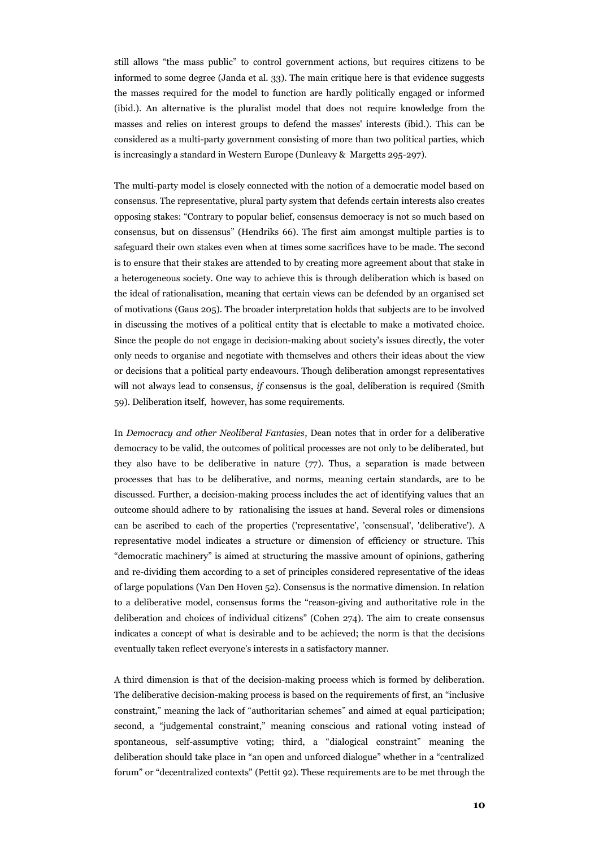still allows "the mass public" to control government actions, but requires citizens to be informed to some degree (Janda et al. 33). The main critique here is that evidence suggests the masses required for the model to function are hardly politically engaged or informed (ibid.). An alternative is the pluralist model that does not require knowledge from the masses and relies on interest groups to defend the masses' interests (ibid.). This can be considered as a multi-party government consisting of more than two political parties, which is increasingly a standard in Western Europe (Dunleavy & Margetts 295-297).

The multi-party model is closely connected with the notion of a democratic model based on consensus. The representative, plural party system that defends certain interests also creates opposing stakes: "Contrary to popular belief, consensus democracy is not so much based on consensus, but on dissensus" (Hendriks 66). The first aim amongst multiple parties is to safeguard their own stakes even when at times some sacrifices have to be made. The second is to ensure that their stakes are attended to by creating more agreement about that stake in a heterogeneous society. One way to achieve this is through deliberation which is based on the ideal of rationalisation, meaning that certain views can be defended by an organised set of motivations (Gaus 205). The broader interpretation holds that subjects are to be involved in discussing the motives of a political entity that is electable to make a motivated choice. Since the people do not engage in decision-making about society's issues directly, the voter only needs to organise and negotiate with themselves and others their ideas about the view or decisions that a political party endeavours. Though deliberation amongst representatives will not always lead to consensus, *if* consensus is the goal, deliberation is required (Smith 59). Deliberation itself, however, has some requirements.

In *Democracy and other Neoliberal Fantasies*, Dean notes that in order for a deliberative democracy to be valid, the outcomes of political processes are not only to be deliberated, but they also have to be deliberative in nature  $(77)$ . Thus, a separation is made between processes that has to be deliberative, and norms, meaning certain standards, are to be discussed. Further, a decision-making process includes the act of identifying values that an outcome should adhere to by rationalising the issues at hand. Several roles or dimensions can be ascribed to each of the properties ('representative', 'consensual', 'deliberative'). A representative model indicates a structure or dimension of efficiency or structure. This "democratic machinery" is aimed at structuring the massive amount of opinions, gathering and re-dividing them according to a set of principles considered representative of the ideas of large populations (Van Den Hoven 52). Consensus is the normative dimension. In relation to a deliberative model, consensus forms the "reason-giving and authoritative role in the deliberation and choices of individual citizens" (Cohen 274). The aim to create consensus indicates a concept of what is desirable and to be achieved; the norm is that the decisions eventually taken reflect everyone's interests in a satisfactory manner.

A third dimension is that of the decision-making process which is formed by deliberation. The deliberative decision-making process is based on the requirements of first, an "inclusive constraint," meaning the lack of "authoritarian schemes" and aimed at equal participation; second, a "judgemental constraint," meaning conscious and rational voting instead of spontaneous, self-assumptive voting; third, a "dialogical constraint" meaning the deliberation should take place in "an open and unforced dialogue" whether in a "centralized forum" or "decentralized contexts" (Pettit 92). These requirements are to be met through the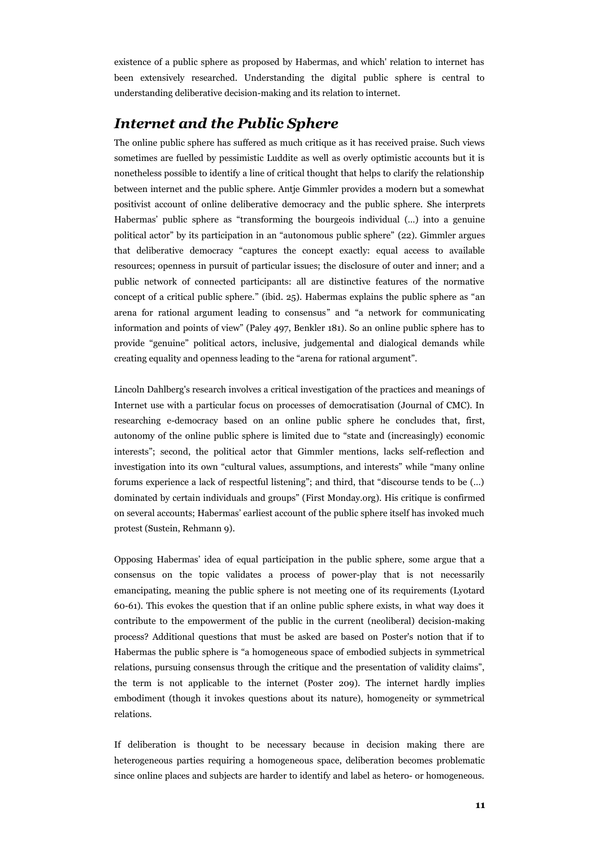existence of a public sphere as proposed by Habermas, and which' relation to internet has been extensively researched. Understanding the digital public sphere is central to understanding deliberative decision-making and its relation to internet.

#### *Internet and the Public Sphere*

The online public sphere has suffered as much critique as it has received praise. Such views sometimes are fuelled by pessimistic Luddite as well as overly optimistic accounts but it is nonetheless possible to identify a line of critical thought that helps to clarify the relationship between internet and the public sphere. Antje Gimmler provides a modern but a somewhat positivist account of online deliberative democracy and the public sphere. She interprets Habermas' public sphere as "transforming the bourgeois individual (…) into a genuine political actor" by its participation in an "autonomous public sphere" (22). Gimmler argues that deliberative democracy "captures the concept exactly: equal access to available resources; openness in pursuit of particular issues; the disclosure of outer and inner; and a public network of connected participants: all are distinctive features of the normative concept of a critical public sphere." (ibid. 25). Habermas explains the public sphere as "an arena for rational argument leading to consensus" and "a network for communicating information and points of view" (Paley 497, Benkler 181). So an online public sphere has to provide "genuine" political actors, inclusive, judgemental and dialogical demands while creating equality and openness leading to the "arena for rational argument".

Lincoln Dahlberg's research involves a critical investigation of the practices and meanings of Internet use with a particular focus on processes of democratisation (Journal of CMC). In researching e-democracy based on an online public sphere he concludes that, first, autonomy of the online public sphere is limited due to "state and (increasingly) economic interests"; second, the political actor that Gimmler mentions, lacks self-reflection and investigation into its own "cultural values, assumptions, and interests" while "many online forums experience a lack of respectful listening"; and third, that "discourse tends to be (…) dominated by certain individuals and groups" (First Monday.org). His critique is confirmed on several accounts; Habermas' earliest account of the public sphere itself has invoked much protest (Sustein, Rehmann 9).

Opposing Habermas' idea of equal participation in the public sphere, some argue that a consensus on the topic validates a process of power-play that is not necessarily emancipating, meaning the public sphere is not meeting one of its requirements (Lyotard 60-61). This evokes the question that if an online public sphere exists, in what way does it contribute to the empowerment of the public in the current (neoliberal) decision-making process? Additional questions that must be asked are based on Poster's notion that if to Habermas the public sphere is "a homogeneous space of embodied subjects in symmetrical relations, pursuing consensus through the critique and the presentation of validity claims", the term is not applicable to the internet (Poster 209). The internet hardly implies embodiment (though it invokes questions about its nature), homogeneity or symmetrical relations.

If deliberation is thought to be necessary because in decision making there are heterogeneous parties requiring a homogeneous space, deliberation becomes problematic since online places and subjects are harder to identify and label as hetero- or homogeneous.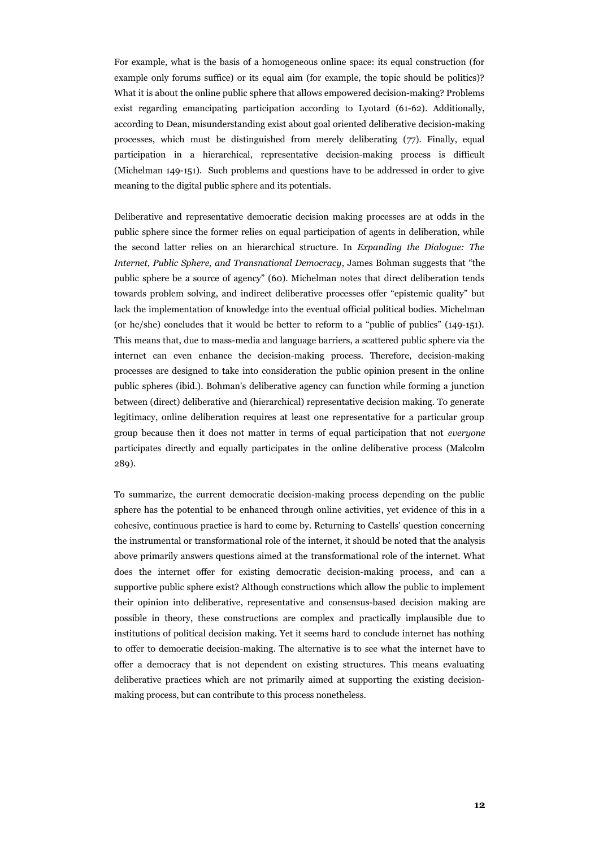For example, what is the basis of a homogeneous online space: its equal construction (for example only forums suffice) or its equal aim (for example, the topic should be politics)? What it is about the online public sphere that allows empowered decision-making? Problems exist regarding emancipating participation according to Lyotard (61-62). Additionally, according to Dean, misunderstanding exist about goal oriented deliberative decision-making processes, which must be distinguished from merely deliberating (77). Finally, equal participation in a hierarchical, representative decision-making process is difficult (Michelman 149-151). Such problems and questions have to be addressed in order to give meaning to the digital public sphere and its potentials.

Deliberative and representative democratic decision making processes are at odds in the public sphere since the former relies on equal participation of agents in deliberation, while the second latter relies on an hierarchical structure. In *Expanding the Dialogue: The Internet, Public Sphere, and Transnational Democracy*, James Bohman suggests that "the public sphere be a source of agency" (60). Michelman notes that direct deliberation tends towards problem solving, and indirect deliberative processes offer "epistemic quality" but lack the implementation of knowledge into the eventual official political bodies. Michelman (or he/she) concludes that it would be better to reform to a "public of publics" (149-151). This means that, due to mass-media and language barriers, a scattered public sphere via the internet can even enhance the decision-making process. Therefore, decision-making processes are designed to take into consideration the public opinion present in the online public spheres (ibid.). Bohman's deliberative agency can function while forming a junction between (direct) deliberative and (hierarchical) representative decision making. To generate legitimacy, online deliberation requires at least one representative for a particular group group because then it does not matter in terms of equal participation that not *everyone* participates directly and equally participates in the online deliberative process (Malcolm 289).

To summarize, the current democratic decision-making process depending on the public sphere has the potential to be enhanced through online activities, yet evidence of this in a cohesive, continuous practice is hard to come by. Returning to Castells' question concerning the instrumental or transformational role of the internet, it should be noted that the analysis above primarily answers questions aimed at the transformational role of the internet. What does the internet offer for existing democratic decision-making process, and can a supportive public sphere exist? Although constructions which allow the public to implement their opinion into deliberative, representative and consensus-based decision making are possible in theory, these constructions are complex and practically implausible due to institutions of political decision making. Yet it seems hard to conclude internet has nothing to offer to democratic decision-making. The alternative is to see what the internet have to offer a democracy that is not dependent on existing structures. This means evaluating deliberative practices which are not primarily aimed at supporting the existing decisionmaking process, but can contribute to this process nonetheless.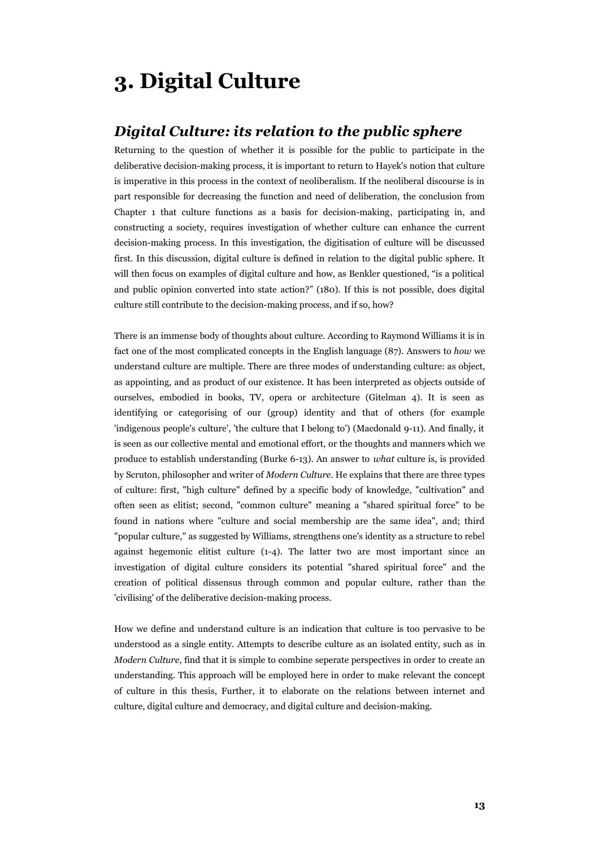## **3. Digital Culture**

#### *Digital Culture: its relation to the public sphere*

Returning to the question of whether it is possible for the public to participate in the deliberative decision-making process, it is important to return to Hayek's notion that culture is imperative in this process in the context of neoliberalism. If the neoliberal discourse is in part responsible for decreasing the function and need of deliberation, the conclusion from Chapter 1 that culture functions as a basis for decision-making, participating in, and constructing a society, requires investigation of whether culture can enhance the current decision-making process. In this investigation, the digitisation of culture will be discussed first. In this discussion, digital culture is defined in relation to the digital public sphere. It will then focus on examples of digital culture and how, as Benkler questioned, "is a political and public opinion converted into state action?" (180). If this is not possible, does digital culture still contribute to the decision-making process, and if so, how?

There is an immense body of thoughts about culture. According to Raymond Williams it is in fact one of the most complicated concepts in the English language (87). Answers to *how* we understand culture are multiple. There are three modes of understanding culture: as object, as appointing, and as product of our existence. It has been interpreted as objects outside of ourselves, embodied in books, TV, opera or architecture (Gitelman 4). It is seen as identifying or categorising of our (group) identity and that of others (for example 'indigenous people's culture', 'the culture that I belong to') (Macdonald 9-11). And finally, it is seen as our collective mental and emotional effort, or the thoughts and manners which we produce to establish understanding (Burke 6-13). An answer to *what* culture is, is provided by Scruton, philosopher and writer of *Modern Culture*. He explains that there are three types of culture: first, "high culture" defined by a specific body of knowledge, "cultivation" and often seen as elitist; second, "common culture" meaning a "shared spiritual force" to be found in nations where "culture and social membership are the same idea", and; third "popular culture," as suggested by Williams, strengthens one's identity as a structure to rebel against hegemonic elitist culture (1-4). The latter two are most important since an investigation of digital culture considers its potential "shared spiritual force" and the creation of political dissensus through common and popular culture, rather than the 'civilising' of the deliberative decision-making process.

How we define and understand culture is an indication that culture is too pervasive to be understood as a single entity. Attempts to describe culture as an isolated entity, such as in *Modern Culture*, find that it is simple to combine seperate perspectives in order to create an understanding. This approach will be employed here in order to make relevant the concept of culture in this thesis, Further, it to elaborate on the relations between internet and culture, digital culture and democracy, and digital culture and decision-making.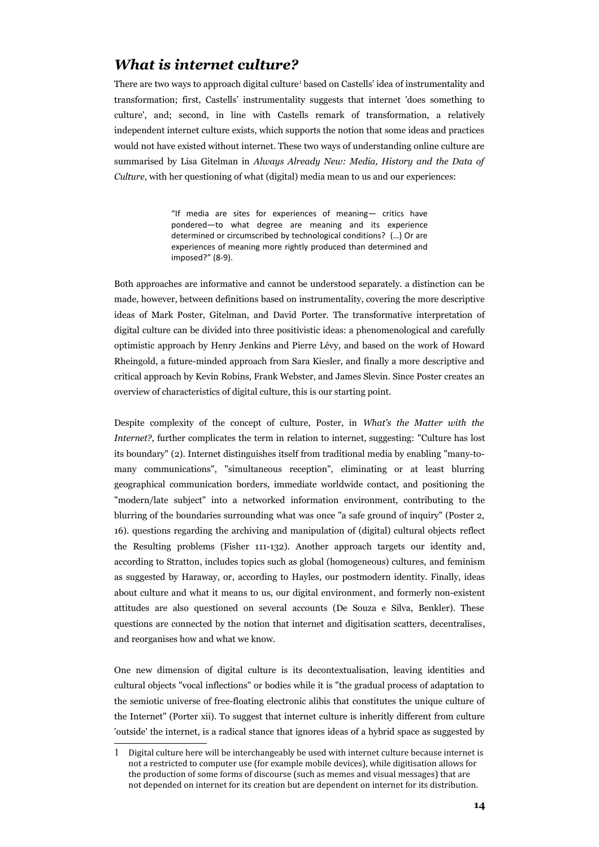#### *What is internet culture?*

There are two ways to approach digital culture<sup>[1](#page-14-0)</sup> based on Castells' idea of instrumentality and transformation; first, Castells' instrumentality suggests that internet 'does something to culture', and; second, in line with Castells remark of transformation, a relatively independent internet culture exists, which supports the notion that some ideas and practices would not have existed without internet. These two ways of understanding online culture are summarised by Lisa Gitelman in *Always Already New: Media, History and the Data of Culture*, with her questioning of what (digital) media mean to us and our experiences:

> "If media are sites for experiences of meaning— critics have pondered—to what degree are meaning and its experience determined or circumscribed by technological conditions? (…) Or are experiences of meaning more rightly produced than determined and imposed?" (8-9).

Both approaches are informative and cannot be understood separately. a distinction can be made, however, between definitions based on instrumentality, covering the more descriptive ideas of Mark Poster, Gitelman, and David Porter. The transformative interpretation of digital culture can be divided into three positivistic ideas: a phenomenological and carefully optimistic approach by Henry Jenkins and Pierre Lévy, and based on the work of Howard Rheingold, a future-minded approach from Sara Kiesler, and finally a more descriptive and critical approach by Kevin Robins, Frank Webster, and James Slevin. Since Poster creates an overview of characteristics of digital culture, this is our starting point.

Despite complexity of the concept of culture, Poster, in *What's the Matter with the Internet?*, further complicates the term in relation to internet, suggesting: "Culture has lost its boundary" (2). Internet distinguishes itself from traditional media by enabling "many-tomany communications", "simultaneous reception", eliminating or at least blurring geographical communication borders, immediate worldwide contact, and positioning the "modern/late subject" into a networked information environment, contributing to the blurring of the boundaries surrounding what was once "a safe ground of inquiry" (Poster 2, 16). questions regarding the archiving and manipulation of (digital) cultural objects reflect the Resulting problems (Fisher 111-132). Another approach targets our identity and, according to Stratton, includes topics such as global (homogeneous) cultures, and feminism as suggested by Haraway, or, according to Hayles, our postmodern identity. Finally, ideas about culture and what it means to us, our digital environment, and formerly non-existent attitudes are also questioned on several accounts (De Souza e Silva, Benkler). These questions are connected by the notion that internet and digitisation scatters, decentralises, and reorganises how and what we know.

One new dimension of digital culture is its decontextualisation, leaving identities and cultural objects "vocal inflections" or bodies while it is "the gradual process of adaptation to the semiotic universe of free-floating electronic alibis that constitutes the unique culture of the Internet" (Porter xii). To suggest that internet culture is inheritly different from culture 'outside' the internet, is a radical stance that ignores ideas of a hybrid space as suggested by

<span id="page-14-0"></span><sup>1</sup> Digital culture here will be interchangeably be used with internet culture because internet is not a restricted to computer use (for example mobile devices), while digitisation allows for the production of some forms of discourse (such as memes and visual messages) that are not depended on internet for its creation but are dependent on internet for its distribution.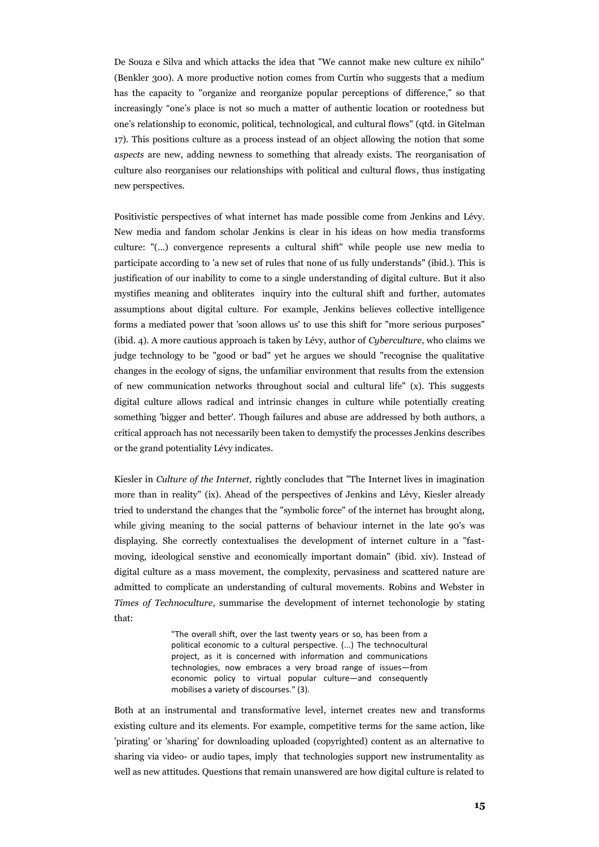De Souza e Silva and which attacks the idea that "We cannot make new culture ex nihilo" (Benkler 300). A more productive notion comes from Curtin who suggests that a medium has the capacity to "organize and reorganize popular perceptions of difference," so that increasingly "one's place is not so much a matter of authentic location or rootedness but one's relationship to economic, political, technological, and cultural flows" (qtd. in Gitelman 17). This positions culture as a process instead of an object allowing the notion that some *aspects* are new, adding newness to something that already exists. The reorganisation of culture also reorganises our relationships with political and cultural flows, thus instigating new perspectives.

Positivistic perspectives of what internet has made possible come from Jenkins and Lévy. New media and fandom scholar Jenkins is clear in his ideas on how media transforms culture: "(...) convergence represents a cultural shift" while people use new media to participate according to 'a new set of rules that none of us fully understands" (ibid.). This is justification of our inability to come to a single understanding of digital culture. But it also mystifies meaning and obliterates inquiry into the cultural shift and further, automates assumptions about digital culture. For example, Jenkins believes collective intelligence forms a mediated power that 'soon allows us' to use this shift for "more serious purposes" (ibid. 4). A more cautious approach is taken by Lévy, author of *Cyberculture*, who claims we judge technology to be "good or bad" yet he argues we should "recognise the qualitative changes in the ecology of signs, the unfamiliar environment that results from the extension of new communication networks throughout social and cultural life" (x). This suggests digital culture allows radical and intrinsic changes in culture while potentially creating something 'bigger and better'. Though failures and abuse are addressed by both authors, a critical approach has not necessarily been taken to demystify the processes Jenkins describes or the grand potentiality Lévy indicates.

Kiesler in *Culture of the Internet,* rightly concludes that "The Internet lives in imagination more than in reality" (ix). Ahead of the perspectives of Jenkins and Lévy, Kiesler already tried to understand the changes that the "symbolic force" of the internet has brought along, while giving meaning to the social patterns of behaviour internet in the late 90's was displaying. She correctly contextualises the development of internet culture in a "fastmoving, ideological senstive and economically important domain" (ibid. xiv). Instead of digital culture as a mass movement, the complexity, pervasiness and scattered nature are admitted to complicate an understanding of cultural movements. Robins and Webster in *Times of Technoculture*, summarise the development of internet techonologie by stating that:

> "The overall shift, over the last twenty years or so, has been from a political economic to a cultural perspective. (...) The technocultural project, as it is concerned with information and communications technologies, now embraces a very broad range of issues—from economic policy to virtual popular culture—and consequently mobilises a variety of discourses." (3).

Both at an instrumental and transformative level, internet creates new and transforms existing culture and its elements. For example, competitive terms for the same action, like 'pirating' or 'sharing' for downloading uploaded (copyrighted) content as an alternative to sharing via video- or audio tapes, imply that technologies support new instrumentality as well as new attitudes. Questions that remain unanswered are how digital culture is related to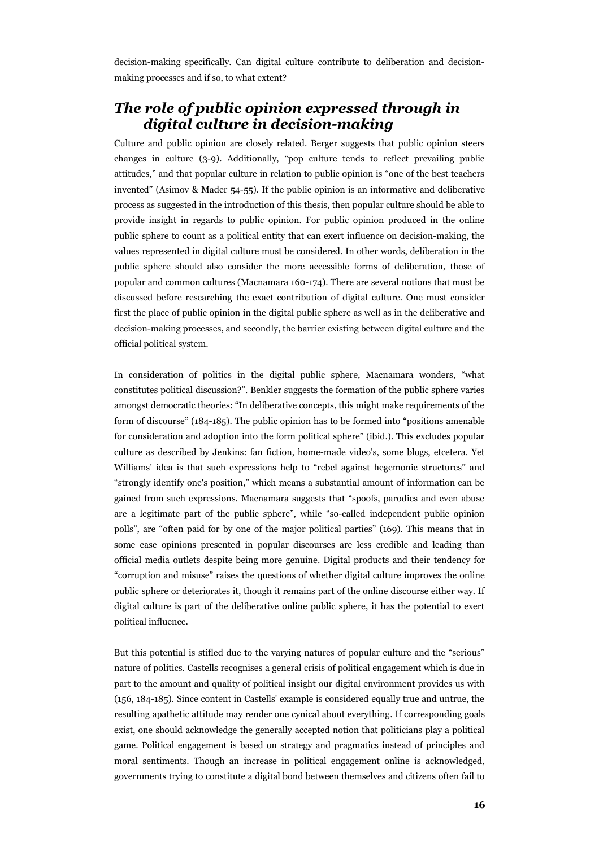decision-making specifically. Can digital culture contribute to deliberation and decisionmaking processes and if so, to what extent?

#### *The role of public opinion expressed through in digital culture in decision-making*

Culture and public opinion are closely related. Berger suggests that public opinion steers changes in culture (3-9). Additionally, "pop culture tends to reflect prevailing public attitudes," and that popular culture in relation to public opinion is "one of the best teachers invented" (Asimov & Mader 54-55). If the public opinion is an informative and deliberative process as suggested in the introduction of this thesis, then popular culture should be able to provide insight in regards to public opinion. For public opinion produced in the online public sphere to count as a political entity that can exert influence on decision-making, the values represented in digital culture must be considered. In other words, deliberation in the public sphere should also consider the more accessible forms of deliberation, those of popular and common cultures (Macnamara 160-174). There are several notions that must be discussed before researching the exact contribution of digital culture. One must consider first the place of public opinion in the digital public sphere as well as in the deliberative and decision-making processes, and secondly, the barrier existing between digital culture and the official political system.

In consideration of politics in the digital public sphere, Macnamara wonders, "what constitutes political discussion?". Benkler suggests the formation of the public sphere varies amongst democratic theories: "In deliberative concepts, this might make requirements of the form of discourse" (184-185). The public opinion has to be formed into "positions amenable for consideration and adoption into the form political sphere" (ibid.). This excludes popular culture as described by Jenkins: fan fiction, home-made video's, some blogs, etcetera. Yet Williams' idea is that such expressions help to "rebel against hegemonic structures" and "strongly identify one's position," which means a substantial amount of information can be gained from such expressions. Macnamara suggests that "spoofs, parodies and even abuse are a legitimate part of the public sphere", while "so-called independent public opinion polls", are "often paid for by one of the major political parties" (169). This means that in some case opinions presented in popular discourses are less credible and leading than official media outlets despite being more genuine. Digital products and their tendency for "corruption and misuse" raises the questions of whether digital culture improves the online public sphere or deteriorates it, though it remains part of the online discourse either way. If digital culture is part of the deliberative online public sphere, it has the potential to exert political influence.

But this potential is stifled due to the varying natures of popular culture and the "serious" nature of politics. Castells recognises a general crisis of political engagement which is due in part to the amount and quality of political insight our digital environment provides us with (156, 184-185). Since content in Castells' example is considered equally true and untrue, the resulting apathetic attitude may render one cynical about everything. If corresponding goals exist, one should acknowledge the generally accepted notion that politicians play a political game. Political engagement is based on strategy and pragmatics instead of principles and moral sentiments. Though an increase in political engagement online is acknowledged, governments trying to constitute a digital bond between themselves and citizens often fail to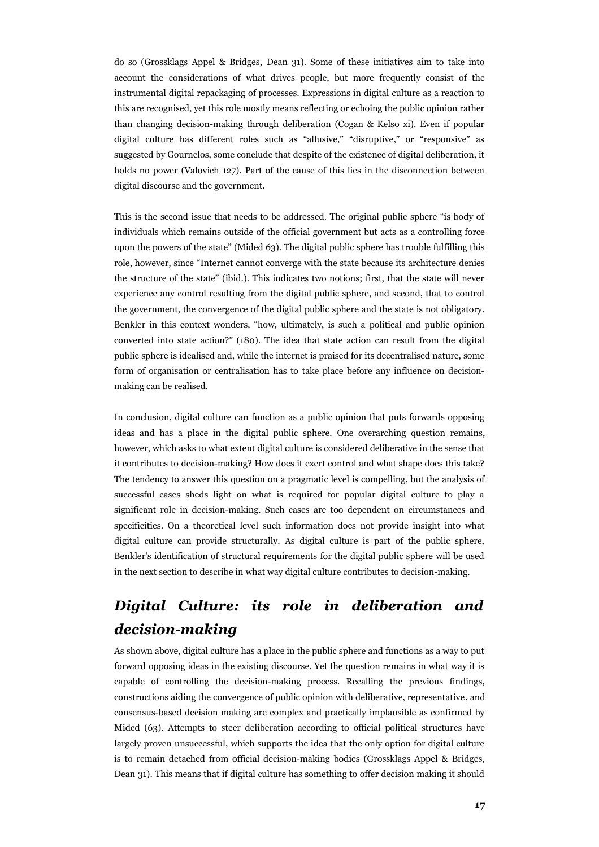do so (Grossklags Appel & Bridges, Dean 31). Some of these initiatives aim to take into account the considerations of what drives people, but more frequently consist of the instrumental digital repackaging of processes. Expressions in digital culture as a reaction to this are recognised, yet this role mostly means reflecting or echoing the public opinion rather than changing decision-making through deliberation (Cogan & Kelso xi). Even if popular digital culture has different roles such as "allusive," "disruptive," or "responsive" as suggested by Gournelos, some conclude that despite of the existence of digital deliberation, it holds no power (Valovich 127). Part of the cause of this lies in the disconnection between digital discourse and the government.

This is the second issue that needs to be addressed. The original public sphere "is body of individuals which remains outside of the official government but acts as a controlling force upon the powers of the state" (Mided 63). The digital public sphere has trouble fulfilling this role, however, since "Internet cannot converge with the state because its architecture denies the structure of the state" (ibid.). This indicates two notions; first, that the state will never experience any control resulting from the digital public sphere, and second, that to control the government, the convergence of the digital public sphere and the state is not obligatory. Benkler in this context wonders, "how, ultimately, is such a political and public opinion converted into state action?" (180). The idea that state action can result from the digital public sphere is idealised and, while the internet is praised for its decentralised nature, some form of organisation or centralisation has to take place before any influence on decisionmaking can be realised.

In conclusion, digital culture can function as a public opinion that puts forwards opposing ideas and has a place in the digital public sphere. One overarching question remains, however, which asks to what extent digital culture is considered deliberative in the sense that it contributes to decision-making? How does it exert control and what shape does this take? The tendency to answer this question on a pragmatic level is compelling, but the analysis of successful cases sheds light on what is required for popular digital culture to play a significant role in decision-making. Such cases are too dependent on circumstances and specificities. On a theoretical level such information does not provide insight into what digital culture can provide structurally. As digital culture is part of the public sphere, Benkler's identification of structural requirements for the digital public sphere will be used in the next section to describe in what way digital culture contributes to decision-making.

### *Digital Culture: its role in deliberation and decision-making*

As shown above, digital culture has a place in the public sphere and functions as a way to put forward opposing ideas in the existing discourse. Yet the question remains in what way it is capable of controlling the decision-making process. Recalling the previous findings, constructions aiding the convergence of public opinion with deliberative, representative, and consensus-based decision making are complex and practically implausible as confirmed by Mided (63). Attempts to steer deliberation according to official political structures have largely proven unsuccessful, which supports the idea that the only option for digital culture is to remain detached from official decision-making bodies (Grossklags Appel & Bridges, Dean 31). This means that if digital culture has something to offer decision making it should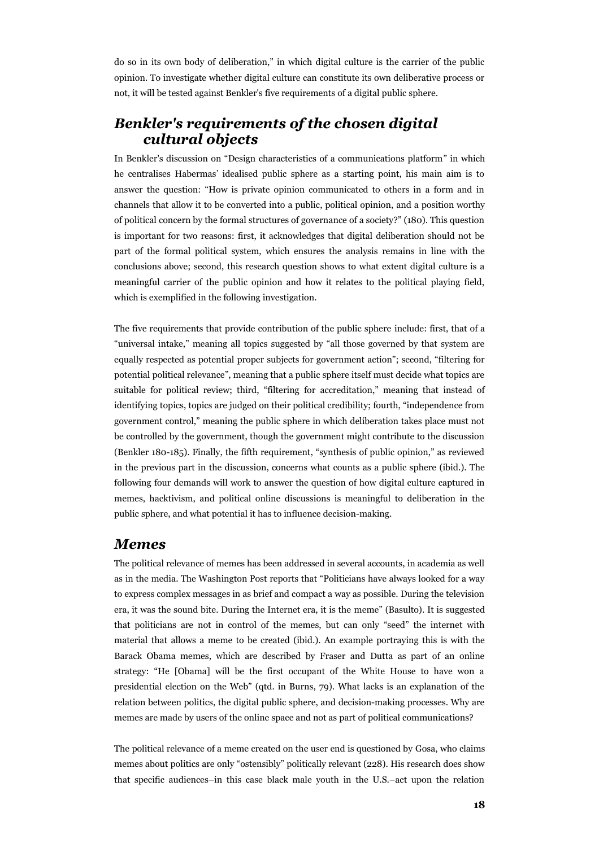do so in its own body of deliberation," in which digital culture is the carrier of the public opinion. To investigate whether digital culture can constitute its own deliberative process or not, it will be tested against Benkler's five requirements of a digital public sphere.

#### *Benkler's requirements of the chosen digital cultural objects*

In Benkler's discussion on "Design characteristics of a communications platform" in which he centralises Habermas' idealised public sphere as a starting point, his main aim is to answer the question: "How is private opinion communicated to others in a form and in channels that allow it to be converted into a public, political opinion, and a position worthy of political concern by the formal structures of governance of a society?" (180). This question is important for two reasons: first, it acknowledges that digital deliberation should not be part of the formal political system, which ensures the analysis remains in line with the conclusions above; second, this research question shows to what extent digital culture is a meaningful carrier of the public opinion and how it relates to the political playing field, which is exemplified in the following investigation.

The five requirements that provide contribution of the public sphere include: first, that of a "universal intake," meaning all topics suggested by "all those governed by that system are equally respected as potential proper subjects for government action"; second, "filtering for potential political relevance", meaning that a public sphere itself must decide what topics are suitable for political review; third, "filtering for accreditation," meaning that instead of identifying topics, topics are judged on their political credibility; fourth, "independence from government control," meaning the public sphere in which deliberation takes place must not be controlled by the government, though the government might contribute to the discussion (Benkler 180-185). Finally, the fifth requirement, "synthesis of public opinion," as reviewed in the previous part in the discussion, concerns what counts as a public sphere (ibid.). The following four demands will work to answer the question of how digital culture captured in memes, hacktivism, and political online discussions is meaningful to deliberation in the public sphere, and what potential it has to influence decision-making.

#### *Memes*

The political relevance of memes has been addressed in several accounts, in academia as well as in the media. The Washington Post reports that "Politicians have always looked for a way to express complex messages in as brief and compact a way as possible. During the television era, it was the sound bite. During the Internet era, it is the meme" (Basulto). It is suggested that politicians are not in control of the memes, but can only "seed" the internet with material that allows a meme to be created (ibid.). An example portraying this is with the Barack Obama memes, which are described by Fraser and Dutta as part of an online strategy: "He [Obama] will be the first occupant of the White House to have won a presidential election on the Web" (qtd. in Burns, 79). What lacks is an explanation of the relation between politics, the digital public sphere, and decision-making processes. Why are memes are made by users of the online space and not as part of political communications?

The political relevance of a meme created on the user end is questioned by Gosa, who claims memes about politics are only "ostensibly" politically relevant (228). His research does show that specific audiences–in this case black male youth in the U.S.–act upon the relation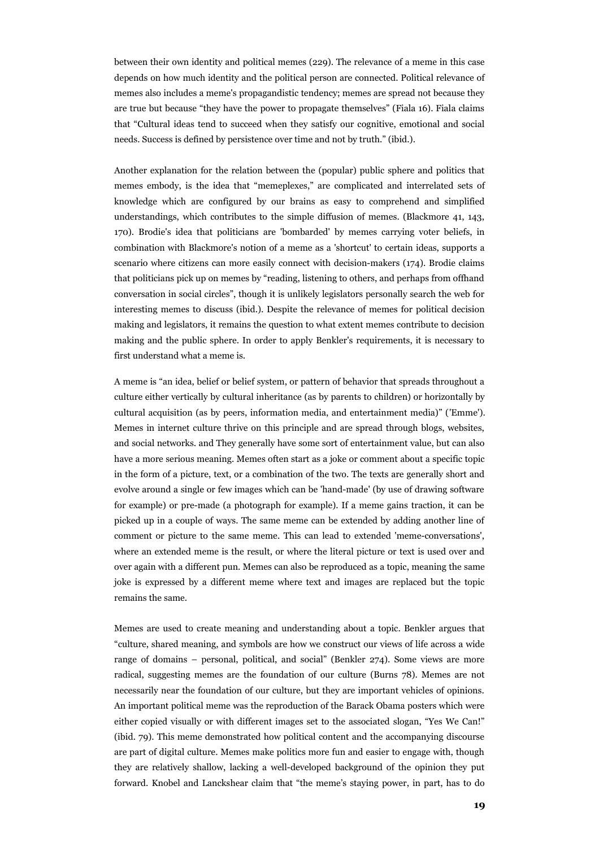between their own identity and political memes (229). The relevance of a meme in this case depends on how much identity and the political person are connected. Political relevance of memes also includes a meme's propagandistic tendency; memes are spread not because they are true but because "they have the power to propagate themselves" (Fiala 16). Fiala claims that "Cultural ideas tend to succeed when they satisfy our cognitive, emotional and social needs. Success is defined by persistence over time and not by truth." (ibid.).

Another explanation for the relation between the (popular) public sphere and politics that memes embody, is the idea that "memeplexes," are complicated and interrelated sets of knowledge which are configured by our brains as easy to comprehend and simplified understandings, which contributes to the simple diffusion of memes. (Blackmore 41, 143, 170). Brodie's idea that politicians are 'bombarded' by memes carrying voter beliefs, in combination with Blackmore's notion of a meme as a 'shortcut' to certain ideas, supports a scenario where citizens can more easily connect with decision-makers (174). Brodie claims that politicians pick up on memes by "reading, listening to others, and perhaps from offhand conversation in social circles", though it is unlikely legislators personally search the web for interesting memes to discuss (ibid.). Despite the relevance of memes for political decision making and legislators, it remains the question to what extent memes contribute to decision making and the public sphere. In order to apply Benkler's requirements, it is necessary to first understand what a meme is.

A meme is "an idea, belief or belief system, or pattern of behavior that spreads throughout a culture either vertically by cultural inheritance (as by parents to children) or horizontally by cultural acquisition (as by peers, information media, and entertainment media)" ('Emme'). Memes in internet culture thrive on this principle and are spread through blogs, websites, and social networks. and They generally have some sort of entertainment value, but can also have a more serious meaning. Memes often start as a joke or comment about a specific topic in the form of a picture, text, or a combination of the two. The texts are generally short and evolve around a single or few images which can be 'hand-made' (by use of drawing software for example) or pre-made (a photograph for example). If a meme gains traction, it can be picked up in a couple of ways. The same meme can be extended by adding another line of comment or picture to the same meme. This can lead to extended 'meme-conversations', where an extended meme is the result, or where the literal picture or text is used over and over again with a different pun. Memes can also be reproduced as a topic, meaning the same joke is expressed by a different meme where text and images are replaced but the topic remains the same.

Memes are used to create meaning and understanding about a topic. Benkler argues that "culture, shared meaning, and symbols are how we construct our views of life across a wide range of domains – personal, political, and social" (Benkler 274). Some views are more radical, suggesting memes are the foundation of our culture (Burns 78). Memes are not necessarily near the foundation of our culture, but they are important vehicles of opinions. An important political meme was the reproduction of the Barack Obama posters which were either copied visually or with different images set to the associated slogan, "Yes We Can!" (ibid. 79). This meme demonstrated how political content and the accompanying discourse are part of digital culture. Memes make politics more fun and easier to engage with, though they are relatively shallow, lacking a well-developed background of the opinion they put forward. Knobel and Lanckshear claim that "the meme's staying power, in part, has to do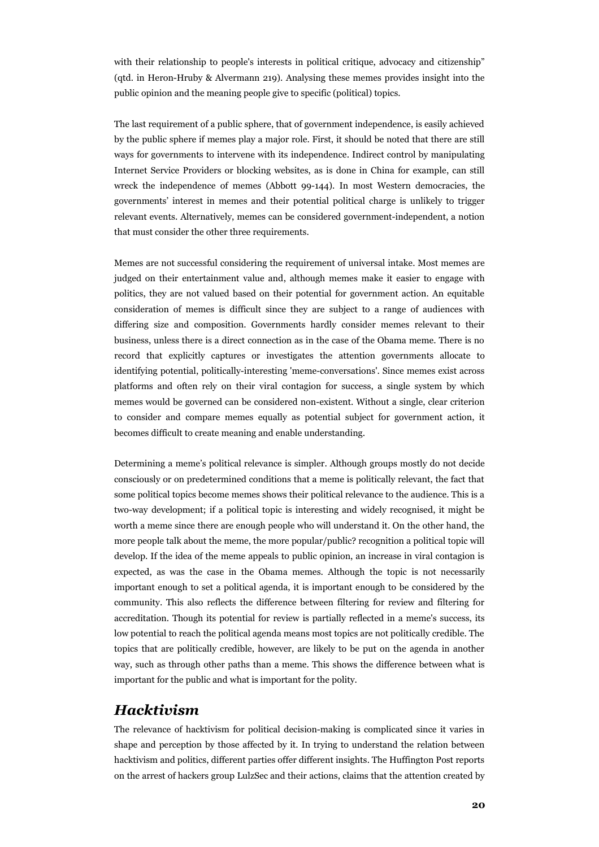with their relationship to people's interests in political critique, advocacy and citizenship" (qtd. in Heron-Hruby & Alvermann 219). Analysing these memes provides insight into the public opinion and the meaning people give to specific (political) topics.

The last requirement of a public sphere, that of government independence, is easily achieved by the public sphere if memes play a major role. First, it should be noted that there are still ways for governments to intervene with its independence. Indirect control by manipulating Internet Service Providers or blocking websites, as is done in China for example, can still wreck the independence of memes (Abbott 99-144). In most Western democracies, the governments' interest in memes and their potential political charge is unlikely to trigger relevant events. Alternatively, memes can be considered government-independent, a notion that must consider the other three requirements.

Memes are not successful considering the requirement of universal intake. Most memes are judged on their entertainment value and, although memes make it easier to engage with politics, they are not valued based on their potential for government action. An equitable consideration of memes is difficult since they are subject to a range of audiences with differing size and composition. Governments hardly consider memes relevant to their business, unless there is a direct connection as in the case of the Obama meme. There is no record that explicitly captures or investigates the attention governments allocate to identifying potential, politically-interesting 'meme-conversations'. Since memes exist across platforms and often rely on their viral contagion for success, a single system by which memes would be governed can be considered non-existent. Without a single, clear criterion to consider and compare memes equally as potential subject for government action, it becomes difficult to create meaning and enable understanding.

Determining a meme's political relevance is simpler. Although groups mostly do not decide consciously or on predetermined conditions that a meme is politically relevant, the fact that some political topics become memes shows their political relevance to the audience. This is a two-way development; if a political topic is interesting and widely recognised, it might be worth a meme since there are enough people who will understand it. On the other hand, the more people talk about the meme, the more popular/public? recognition a political topic will develop. If the idea of the meme appeals to public opinion, an increase in viral contagion is expected, as was the case in the Obama memes. Although the topic is not necessarily important enough to set a political agenda, it is important enough to be considered by the community. This also reflects the difference between filtering for review and filtering for accreditation. Though its potential for review is partially reflected in a meme's success, its low potential to reach the political agenda means most topics are not politically credible. The topics that are politically credible, however, are likely to be put on the agenda in another way, such as through other paths than a meme. This shows the difference between what is important for the public and what is important for the polity.

#### *Hacktivism*

The relevance of hacktivism for political decision-making is complicated since it varies in shape and perception by those affected by it. In trying to understand the relation between hacktivism and politics, different parties offer different insights. The Huffington Post reports on the arrest of hackers group LulzSec and their actions, claims that the attention created by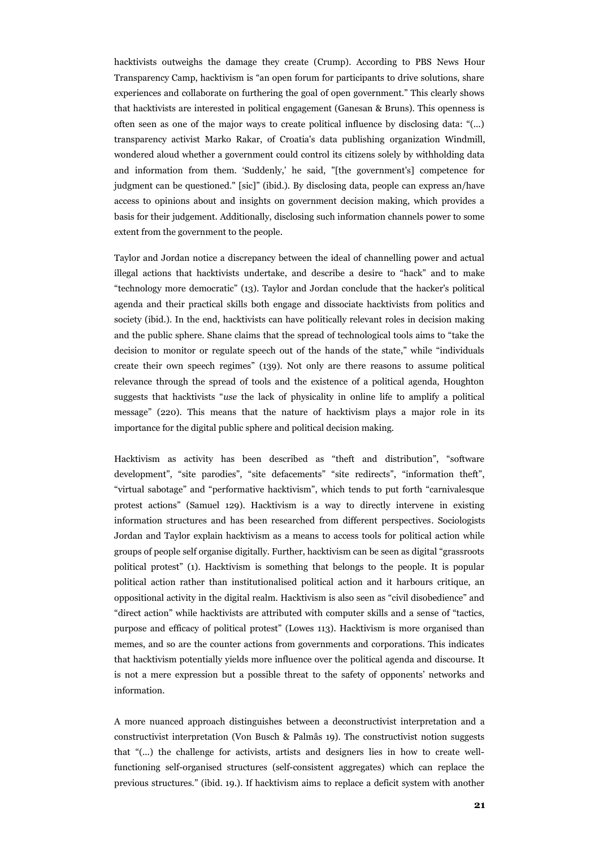hacktivists outweighs the damage they create (Crump). According to PBS News Hour Transparency Camp, hacktivism is "an open forum for participants to drive solutions, share experiences and collaborate on furthering the goal of open government." This clearly shows that hacktivists are interested in political engagement (Ganesan & Bruns). This openness is often seen as one of the major ways to create political influence by disclosing data: "(...) transparency activist Marko Rakar, of Croatia's data publishing organization Windmill, wondered aloud whether a government could control its citizens solely by withholding data and information from them. 'Suddenly,' he said, "[the government's] competence for judgment can be questioned." [sic]" (ibid.). By disclosing data, people can express an/have access to opinions about and insights on government decision making, which provides a basis for their judgement. Additionally, disclosing such information channels power to some extent from the government to the people.

Taylor and Jordan notice a discrepancy between the ideal of channelling power and actual illegal actions that hacktivists undertake, and describe a desire to "hack" and to make "technology more democratic" (13). Taylor and Jordan conclude that the hacker's political agenda and their practical skills both engage and dissociate hacktivists from politics and society (ibid.). In the end, hacktivists can have politically relevant roles in decision making and the public sphere. Shane claims that the spread of technological tools aims to "take the decision to monitor or regulate speech out of the hands of the state," while "individuals create their own speech regimes" (139). Not only are there reasons to assume political relevance through the spread of tools and the existence of a political agenda, Houghton suggests that hacktivists "*use* the lack of physicality in online life to amplify a political message" (220). This means that the nature of hacktivism plays a major role in its importance for the digital public sphere and political decision making.

Hacktivism as activity has been described as "theft and distribution", "software development", "site parodies", "site defacements" "site redirects", "information theft", "virtual sabotage" and "performative hacktivism", which tends to put forth "carnivalesque protest actions" (Samuel 129). Hacktivism is a way to directly intervene in existing information structures and has been researched from different perspectives. Sociologists Jordan and Taylor explain hacktivism as a means to access tools for political action while groups of people self organise digitally. Further, hacktivism can be seen as digital "grassroots political protest" (1). Hacktivism is something that belongs to the people. It is popular political action rather than institutionalised political action and it harbours critique, an oppositional activity in the digital realm. Hacktivism is also seen as "civil disobedience" and "direct action" while hacktivists are attributed with computer skills and a sense of "tactics, purpose and efficacy of political protest" (Lowes 113). Hacktivism is more organised than memes, and so are the counter actions from governments and corporations. This indicates that hacktivism potentially yields more influence over the political agenda and discourse. It is not a mere expression but a possible threat to the safety of opponents' networks and information.

A more nuanced approach distinguishes between a deconstructivist interpretation and a constructivist interpretation (Von Busch & Palmås 19). The constructivist notion suggests that "(...) the challenge for activists, artists and designers lies in how to create wellfunctioning self-organised structures (self-consistent aggregates) which can replace the previous structures." (ibid. 19.). If hacktivism aims to replace a deficit system with another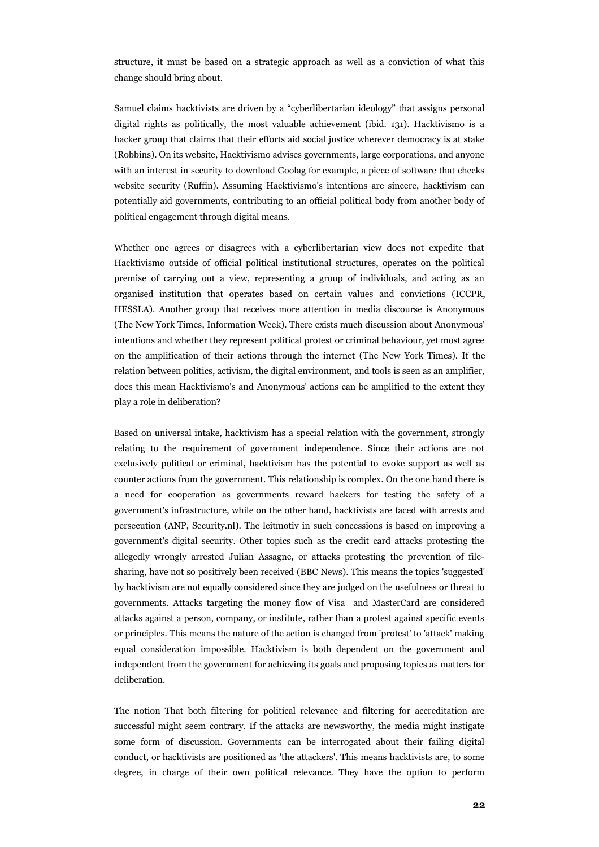structure, it must be based on a strategic approach as well as a conviction of what this change should bring about.

Samuel claims hacktivists are driven by a "cyberlibertarian ideology" that assigns personal digital rights as politically, the most valuable achievement (ibid. 131). Hacktivismo is a hacker group that claims that their efforts aid social justice wherever democracy is at stake (Robbins). On its website, Hacktivismo advises governments, large corporations, and anyone with an interest in security to download Goolag for example, a piece of software that checks website security (Ruffin). Assuming Hacktivismo's intentions are sincere, hacktivism can potentially aid governments, contributing to an official political body from another body of political engagement through digital means.

Whether one agrees or disagrees with a cyberlibertarian view does not expedite that Hacktivismo outside of official political institutional structures, operates on the political premise of carrying out a view, representing a group of individuals, and acting as an organised institution that operates based on certain values and convictions (ICCPR, HESSLA). Another group that receives more attention in media discourse is Anonymous (The New York Times, Information Week). There exists much discussion about Anonymous' intentions and whether they represent political protest or criminal behaviour, yet most agree on the amplification of their actions through the internet (The New York Times). If the relation between politics, activism, the digital environment, and tools is seen as an amplifier, does this mean Hacktivismo's and Anonymous' actions can be amplified to the extent they play a role in deliberation?

Based on universal intake, hacktivism has a special relation with the government, strongly relating to the requirement of government independence. Since their actions are not exclusively political or criminal, hacktivism has the potential to evoke support as well as counter actions from the government. This relationship is complex. On the one hand there is a need for cooperation as governments reward hackers for testing the safety of a government's infrastructure, while on the other hand, hacktivists are faced with arrests and persecution (ANP, Security.nl). The leitmotiv in such concessions is based on improving a government's digital security. Other topics such as the credit card attacks protesting the allegedly wrongly arrested Julian Assagne, or attacks protesting the prevention of filesharing, have not so positively been received (BBC News). This means the topics 'suggested' by hacktivism are not equally considered since they are judged on the usefulness or threat to governments. Attacks targeting the money flow of Visa and MasterCard are considered attacks against a person, company, or institute, rather than a protest against specific events or principles. This means the nature of the action is changed from 'protest' to 'attack' making equal consideration impossible. Hacktivism is both dependent on the government and independent from the government for achieving its goals and proposing topics as matters for deliberation.

The notion That both filtering for political relevance and filtering for accreditation are successful might seem contrary. If the attacks are newsworthy, the media might instigate some form of discussion. Governments can be interrogated about their failing digital conduct, or hacktivists are positioned as 'the attackers'. This means hacktivists are, to some degree, in charge of their own political relevance. They have the option to perform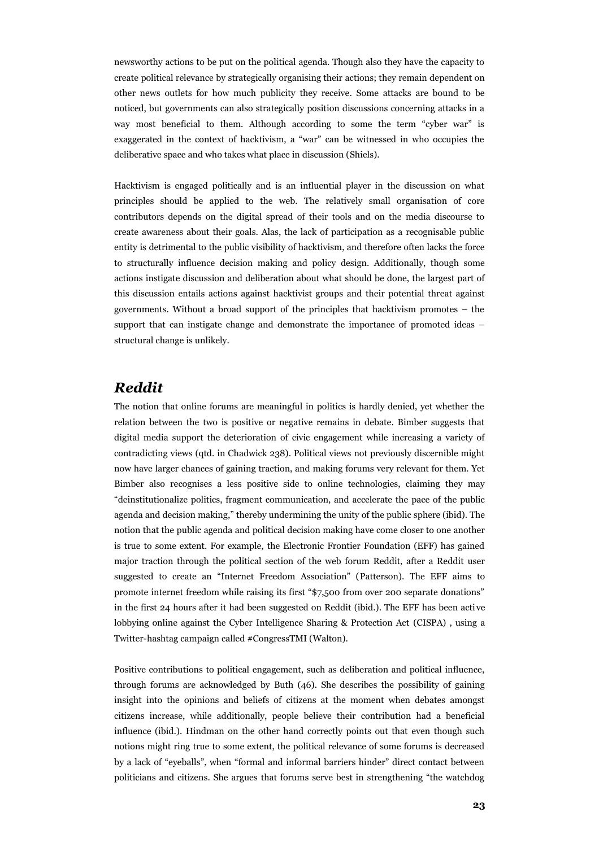newsworthy actions to be put on the political agenda. Though also they have the capacity to create political relevance by strategically organising their actions; they remain dependent on other news outlets for how much publicity they receive. Some attacks are bound to be noticed, but governments can also strategically position discussions concerning attacks in a way most beneficial to them. Although according to some the term "cyber war" is exaggerated in the context of hacktivism, a "war" can be witnessed in who occupies the deliberative space and who takes what place in discussion (Shiels).

Hacktivism is engaged politically and is an influential player in the discussion on what principles should be applied to the web. The relatively small organisation of core contributors depends on the digital spread of their tools and on the media discourse to create awareness about their goals. Alas, the lack of participation as a recognisable public entity is detrimental to the public visibility of hacktivism, and therefore often lacks the force to structurally influence decision making and policy design. Additionally, though some actions instigate discussion and deliberation about what should be done, the largest part of this discussion entails actions against hacktivist groups and their potential threat against governments. Without a broad support of the principles that hacktivism promotes – the support that can instigate change and demonstrate the importance of promoted ideas – structural change is unlikely.

#### *Reddit*

The notion that online forums are meaningful in politics is hardly denied, yet whether the relation between the two is positive or negative remains in debate. Bimber suggests that digital media support the deterioration of civic engagement while increasing a variety of contradicting views (qtd. in Chadwick 238). Political views not previously discernible might now have larger chances of gaining traction, and making forums very relevant for them. Yet Bimber also recognises a less positive side to online technologies, claiming they may "deinstitutionalize politics, fragment communication, and accelerate the pace of the public agenda and decision making," thereby undermining the unity of the public sphere (ibid). The notion that the public agenda and political decision making have come closer to one another is true to some extent. For example, the Electronic Frontier Foundation (EFF) has gained major traction through the political section of the web forum Reddit, after a Reddit user suggested to create an "Internet Freedom Association" (Patterson). The EFF aims to promote internet freedom while raising its first "\$7,500 from over 200 separate donations" in the first 24 hours after it had been suggested on Reddit (ibid.). The EFF has been acti ve lobbying online against the Cyber Intelligence Sharing & Protection Act (CISPA) , using a Twitter-hashtag campaign called #CongressTMI (Walton).

Positive contributions to political engagement, such as deliberation and political influence, through forums are acknowledged by Buth (46). She describes the possibility of gaining insight into the opinions and beliefs of citizens at the moment when debates amongst citizens increase, while additionally, people believe their contribution had a beneficial influence (ibid.). Hindman on the other hand correctly points out that even though such notions might ring true to some extent, the political relevance of some forums is decreased by a lack of "eyeballs", when "formal and informal barriers hinder" direct contact between politicians and citizens. She argues that forums serve best in strengthening "the watchdog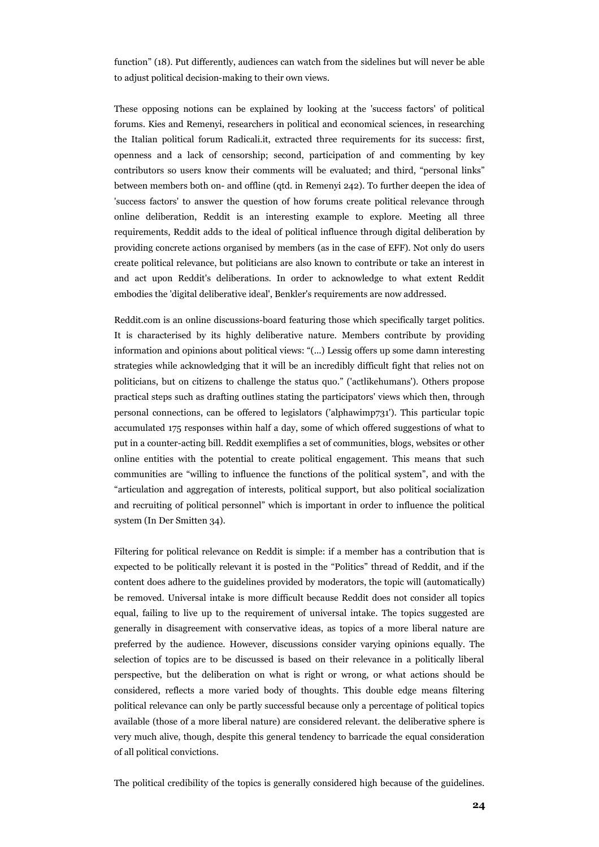function" (18). Put differently, audiences can watch from the sidelines but will never be able to adjust political decision-making to their own views.

These opposing notions can be explained by looking at the 'success factors' of political forums. Kies and Remenyi, researchers in political and economical sciences, in researching the Italian political forum Radicali.it, extracted three requirements for its success: first, openness and a lack of censorship; second, participation of and commenting by key contributors so users know their comments will be evaluated; and third, "personal links" between members both on- and offline (qtd. in Remenyi 242). To further deepen the idea of 'success factors' to answer the question of how forums create political relevance through online deliberation, Reddit is an interesting example to explore. Meeting all three requirements, Reddit adds to the ideal of political influence through digital deliberation by providing concrete actions organised by members (as in the case of EFF). Not only do users create political relevance, but politicians are also known to contribute or take an interest in and act upon Reddit's deliberations. In order to acknowledge to what extent Reddit embodies the 'digital deliberative ideal', Benkler's requirements are now addressed.

Reddit.com is an online discussions-board featuring those which specifically target politics. It is characterised by its highly deliberative nature. Members contribute by providing information and opinions about political views: "(...) Lessig offers up some damn interesting strategies while acknowledging that it will be an incredibly difficult fight that relies not on politicians, but on citizens to challenge the status quo." ('actlikehumans'). Others propose practical steps such as drafting outlines stating the participators' views which then, through personal connections, can be offered to legislators ('alphawimp731'). This particular topic accumulated 175 responses within half a day, some of which offered suggestions of what to put in a counter-acting bill. Reddit exemplifies a set of communities, blogs, websites or other online entities with the potential to create political engagement. This means that such communities are "willing to influence the functions of the political system", and with the "articulation and aggregation of interests, political support, but also political socialization and recruiting of political personnel" which is important in order to influence the political system (In Der Smitten 34).

Filtering for political relevance on Reddit is simple: if a member has a contribution that is expected to be politically relevant it is posted in the "Politics" thread of Reddit, and if the content does adhere to the guidelines provided by moderators, the topic will (automatically) be removed. Universal intake is more difficult because Reddit does not consider all topics equal, failing to live up to the requirement of universal intake. The topics suggested are generally in disagreement with conservative ideas, as topics of a more liberal nature are preferred by the audience. However, discussions consider varying opinions equally. The selection of topics are to be discussed is based on their relevance in a politically liberal perspective, but the deliberation on what is right or wrong, or what actions should be considered, reflects a more varied body of thoughts. This double edge means filtering political relevance can only be partly successful because only a percentage of political topics available (those of a more liberal nature) are considered relevant. the deliberative sphere is very much alive, though, despite this general tendency to barricade the equal consideration of all political convictions.

The political credibility of the topics is generally considered high because of the guidelines.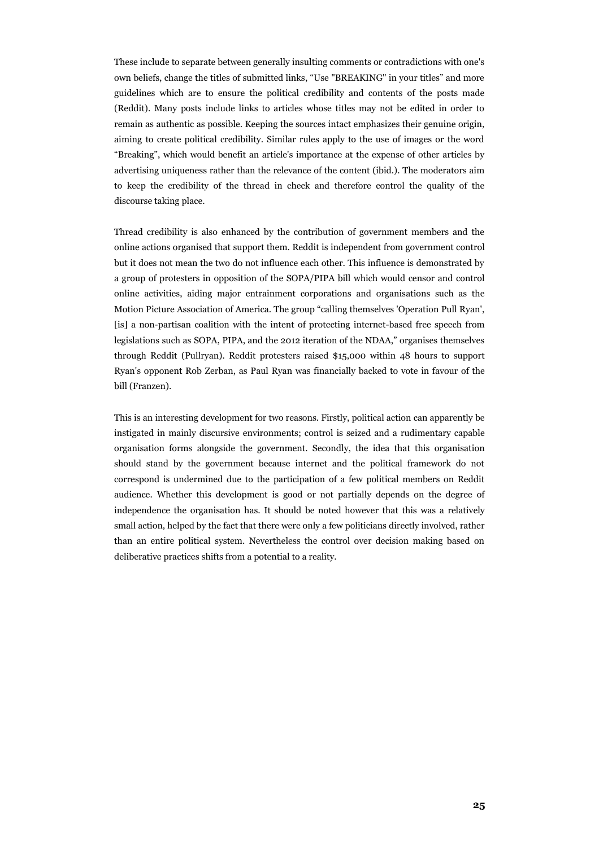These include to separate between generally insulting comments or contradictions with one's own beliefs, change the titles of submitted links, "Use "BREAKING" in your titles" and more guidelines which are to ensure the political credibility and contents of the posts made (Reddit). Many posts include links to articles whose titles may not be edited in order to remain as authentic as possible. Keeping the sources intact emphasizes their genuine origin, aiming to create political credibility. Similar rules apply to the use of images or the word "Breaking", which would benefit an article's importance at the expense of other articles by advertising uniqueness rather than the relevance of the content (ibid.). The moderators aim to keep the credibility of the thread in check and therefore control the quality of the discourse taking place.

Thread credibility is also enhanced by the contribution of government members and the online actions organised that support them. Reddit is independent from government control but it does not mean the two do not influence each other. This influence is demonstrated by a group of protesters in opposition of the SOPA/PIPA bill which would censor and control online activities, aiding major entrainment corporations and organisations such as the Motion Picture Association of America. The group "calling themselves 'Operation Pull Ryan', [is] a non-partisan coalition with the intent of protecting internet-based free speech from legislations such as SOPA, PIPA, and the 2012 iteration of the NDAA," organises themselves through Reddit (Pullryan). Reddit protesters raised \$15,000 within 48 hours to support Ryan's opponent Rob Zerban, as Paul Ryan was financially backed to vote in favour of the bill (Franzen).

This is an interesting development for two reasons. Firstly, political action can apparently be instigated in mainly discursive environments; control is seized and a rudimentary capable organisation forms alongside the government. Secondly, the idea that this organisation should stand by the government because internet and the political framework do not correspond is undermined due to the participation of a few political members on Reddit audience. Whether this development is good or not partially depends on the degree of independence the organisation has. It should be noted however that this was a relatively small action, helped by the fact that there were only a few politicians directly involved, rather than an entire political system. Nevertheless the control over decision making based on deliberative practices shifts from a potential to a reality.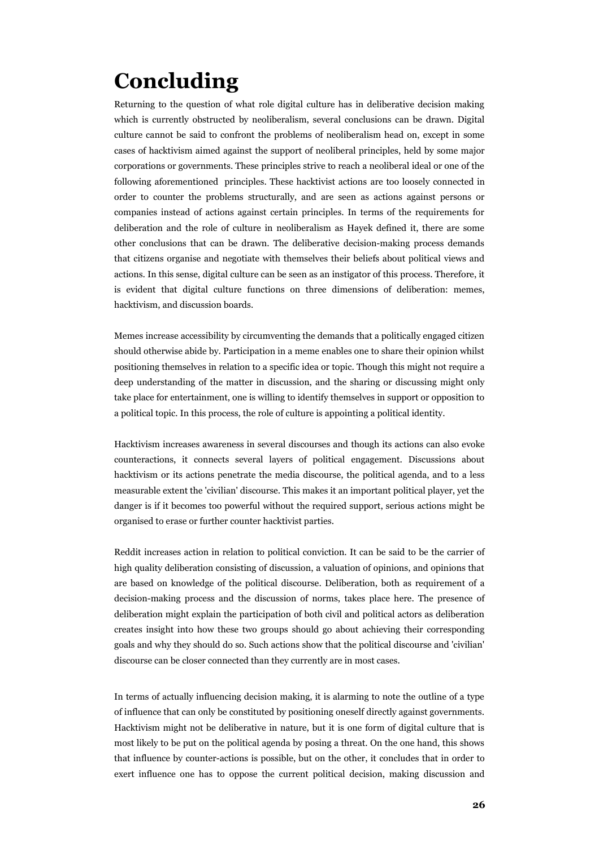# **Concluding**

Returning to the question of what role digital culture has in deliberative decision making which is currently obstructed by neoliberalism, several conclusions can be drawn. Digital culture cannot be said to confront the problems of neoliberalism head on, except in some cases of hacktivism aimed against the support of neoliberal principles, held by some major corporations or governments. These principles strive to reach a neoliberal ideal or one of the following aforementioned principles. These hacktivist actions are too loosely connected in order to counter the problems structurally, and are seen as actions against persons or companies instead of actions against certain principles. In terms of the requirements for deliberation and the role of culture in neoliberalism as Hayek defined it, there are some other conclusions that can be drawn. The deliberative decision-making process demands that citizens organise and negotiate with themselves their beliefs about political views and actions. In this sense, digital culture can be seen as an instigator of this process. Therefore, it is evident that digital culture functions on three dimensions of deliberation: memes, hacktivism, and discussion boards.

Memes increase accessibility by circumventing the demands that a politically engaged citizen should otherwise abide by. Participation in a meme enables one to share their opinion whilst positioning themselves in relation to a specific idea or topic. Though this might not require a deep understanding of the matter in discussion, and the sharing or discussing might only take place for entertainment, one is willing to identify themselves in support or opposition to a political topic. In this process, the role of culture is appointing a political identity.

Hacktivism increases awareness in several discourses and though its actions can also evoke counteractions, it connects several layers of political engagement. Discussions about hacktivism or its actions penetrate the media discourse, the political agenda, and to a less measurable extent the 'civilian' discourse. This makes it an important political player, yet the danger is if it becomes too powerful without the required support, serious actions might be organised to erase or further counter hacktivist parties.

Reddit increases action in relation to political conviction. It can be said to be the carrier of high quality deliberation consisting of discussion, a valuation of opinions, and opinions that are based on knowledge of the political discourse. Deliberation, both as requirement of a decision-making process and the discussion of norms, takes place here. The presence of deliberation might explain the participation of both civil and political actors as deliberation creates insight into how these two groups should go about achieving their corresponding goals and why they should do so. Such actions show that the political discourse and 'civilian' discourse can be closer connected than they currently are in most cases.

In terms of actually influencing decision making, it is alarming to note the outline of a type of influence that can only be constituted by positioning oneself directly against governments. Hacktivism might not be deliberative in nature, but it is one form of digital culture that is most likely to be put on the political agenda by posing a threat. On the one hand, this shows that influence by counter-actions is possible, but on the other, it concludes that in order to exert influence one has to oppose the current political decision, making discussion and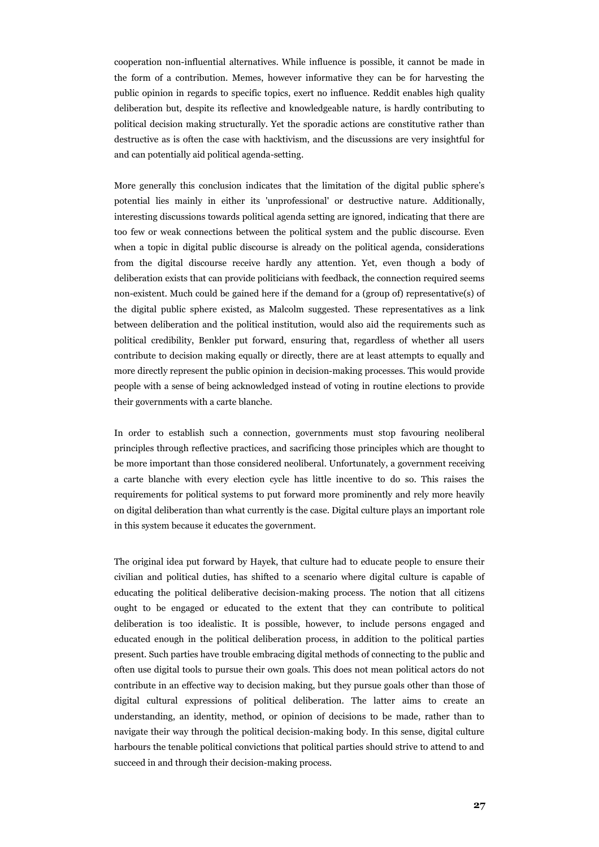cooperation non-influential alternatives. While influence is possible, it cannot be made in the form of a contribution. Memes, however informative they can be for harvesting the public opinion in regards to specific topics, exert no influence. Reddit enables high quality deliberation but, despite its reflective and knowledgeable nature, is hardly contributing to political decision making structurally. Yet the sporadic actions are constitutive rather than destructive as is often the case with hacktivism, and the discussions are very insightful for and can potentially aid political agenda-setting.

More generally this conclusion indicates that the limitation of the digital public sphere's potential lies mainly in either its 'unprofessional' or destructive nature. Additionally, interesting discussions towards political agenda setting are ignored, indicating that there are too few or weak connections between the political system and the public discourse. Even when a topic in digital public discourse is already on the political agenda, considerations from the digital discourse receive hardly any attention. Yet, even though a body of deliberation exists that can provide politicians with feedback, the connection required seems non-existent. Much could be gained here if the demand for a (group of) representative(s) of the digital public sphere existed, as Malcolm suggested. These representatives as a link between deliberation and the political institution, would also aid the requirements such as political credibility, Benkler put forward, ensuring that, regardless of whether all users contribute to decision making equally or directly, there are at least attempts to equally and more directly represent the public opinion in decision-making processes. This would provide people with a sense of being acknowledged instead of voting in routine elections to provide their governments with a carte blanche.

In order to establish such a connection, governments must stop favouring neoliberal principles through reflective practices, and sacrificing those principles which are thought to be more important than those considered neoliberal. Unfortunately, a government receiving a carte blanche with every election cycle has little incentive to do so. This raises the requirements for political systems to put forward more prominently and rely more heavily on digital deliberation than what currently is the case. Digital culture plays an important role in this system because it educates the government.

The original idea put forward by Hayek, that culture had to educate people to ensure their civilian and political duties, has shifted to a scenario where digital culture is capable of educating the political deliberative decision-making process. The notion that all citizens ought to be engaged or educated to the extent that they can contribute to political deliberation is too idealistic. It is possible, however, to include persons engaged and educated enough in the political deliberation process, in addition to the political parties present. Such parties have trouble embracing digital methods of connecting to the public and often use digital tools to pursue their own goals. This does not mean political actors do not contribute in an effective way to decision making, but they pursue goals other than those of digital cultural expressions of political deliberation. The latter aims to create an understanding, an identity, method, or opinion of decisions to be made, rather than to navigate their way through the political decision-making body. In this sense, digital culture harbours the tenable political convictions that political parties should strive to attend to and succeed in and through their decision-making process.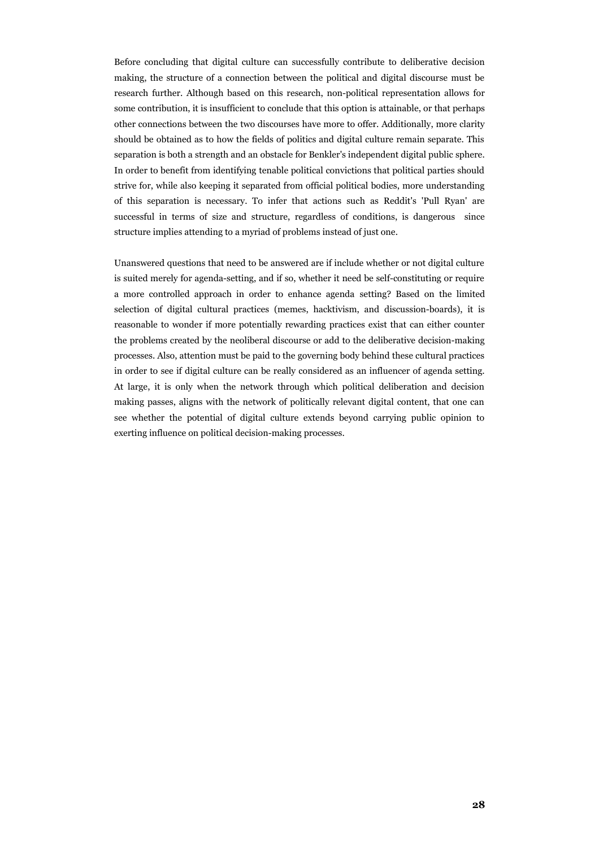Before concluding that digital culture can successfully contribute to deliberative decision making, the structure of a connection between the political and digital discourse must be research further. Although based on this research, non-political representation allows for some contribution, it is insufficient to conclude that this option is attainable, or that perhaps other connections between the two discourses have more to offer. Additionally, more clarity should be obtained as to how the fields of politics and digital culture remain separate. This separation is both a strength and an obstacle for Benkler's independent digital public sphere. In order to benefit from identifying tenable political convictions that political parties should strive for, while also keeping it separated from official political bodies, more understanding of this separation is necessary. To infer that actions such as Reddit's 'Pull Ryan' are successful in terms of size and structure, regardless of conditions, is dangerous since structure implies attending to a myriad of problems instead of just one.

Unanswered questions that need to be answered are if include whether or not digital culture is suited merely for agenda-setting, and if so, whether it need be self-constituting or require a more controlled approach in order to enhance agenda setting? Based on the limited selection of digital cultural practices (memes, hacktivism, and discussion-boards), it is reasonable to wonder if more potentially rewarding practices exist that can either counter the problems created by the neoliberal discourse or add to the deliberative decision-making processes. Also, attention must be paid to the governing body behind these cultural practices in order to see if digital culture can be really considered as an influencer of agenda setting. At large, it is only when the network through which political deliberation and decision making passes, aligns with the network of politically relevant digital content, that one can see whether the potential of digital culture extends beyond carrying public opinion to exerting influence on political decision-making processes.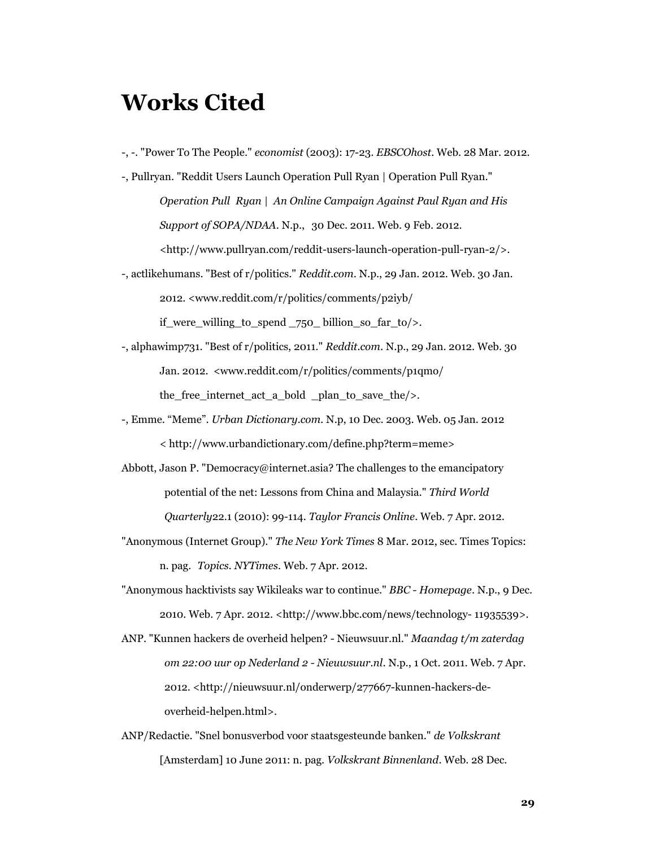### **Works Cited**

-, -. "Power To The People." *economist* (2003): 17-23. *EBSCOhost*. Web. 28 Mar. 2012.

-, Pullryan. "Reddit Users Launch Operation Pull Ryan | Operation Pull Ryan." *Operation Pull Ryan | An Online Campaign Against Paul Ryan and His Support of SOPA/NDAA*. N.p., 30 Dec. 2011. Web. 9 Feb. 2012. <http://www.pullryan.com/reddit-users-launch-operation-pull-ryan-2/>.

- -, actlikehumans. "Best of r/politics." *Reddit.com*. N.p., 29 Jan. 2012. Web. 30 Jan. 2012. <www.reddit.com/r/politics/comments/p2iyb/ if were willing to spend  $750$  billion so far to/>.
- -, alphawimp731. "Best of r/politics, 2011." *Reddit.com*. N.p., 29 Jan. 2012. Web. 30 Jan. 2012. <www.reddit.com/r/politics/comments/p1qmo/ the\_free\_internet\_act\_a\_bold \_plan\_to\_save\_the/>.
- -, Emme. "Meme". *Urban Dictionary.com.* N.p, 10 Dec. 2003. Web. 05 Jan. 2012 < http://www.urbandictionary.com/define.php?term=meme>
- Abbott, Jason P. "Democracy@internet.asia? The challenges to the emancipatory potential of the net: Lessons from China and Malaysia." *Third World Quarterly*22.1 (2010): 99-114. *Taylor Francis Online*. Web. 7 Apr. 2012.
- "Anonymous (Internet Group)." *The New York Times* 8 Mar. 2012, sec. Times Topics: n. pag. *Topics. NYTimes*. Web. 7 Apr. 2012.
- "Anonymous hacktivists say Wikileaks war to continue." *BBC Homepage*. N.p., 9 Dec. 2010. Web. 7 Apr. 2012. <http://www.bbc.com/news/technology- 11935539>.
- ANP. "Kunnen hackers de overheid helpen? Nieuwsuur.nl." *Maandag t/m zaterdag om 22:00 uur op Nederland 2 - Nieuwsuur.nl*. N.p., 1 Oct. 2011. Web. 7 Apr. 2012. <http://nieuwsuur.nl/onderwerp/277667-kunnen-hackers-deoverheid-helpen.html>.
- ANP/Redactie. "Snel bonusverbod voor staatsgesteunde banken." *de Volkskrant* [Amsterdam] 10 June 2011: n. pag. *Volkskrant Binnenland*. Web. 28 Dec.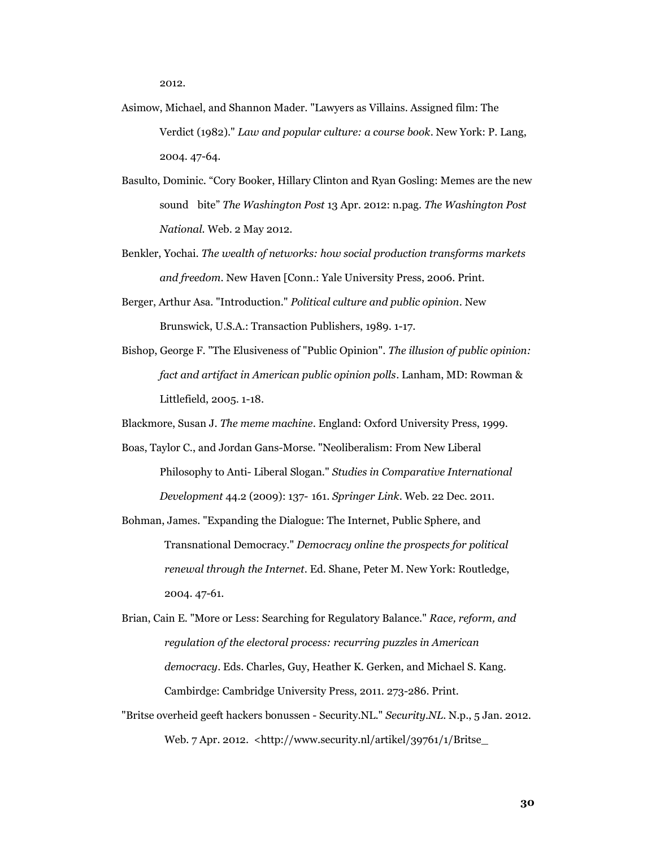2012.

- Asimow, Michael, and Shannon Mader. "Lawyers as Villains. Assigned film: The Verdict (1982)." *Law and popular culture: a course book*. New York: P. Lang, 2004. 47-64.
- Basulto, Dominic. "Cory Booker, Hillary Clinton and Ryan Gosling: Memes are the new sound bite" *The Washington Post* 13 Apr. 2012: n.pag. *The Washington Post National.* Web. 2 May 2012.
- Benkler, Yochai. *The wealth of networks: how social production transforms markets and freedom*. New Haven [Conn.: Yale University Press, 2006. Print.
- Berger, Arthur Asa. "Introduction." *Political culture and public opinion*. New Brunswick, U.S.A.: Transaction Publishers, 1989. 1-17.
- Bishop, George F. "The Elusiveness of "Public Opinion". *The illusion of public opinion: fact and artifact in American public opinion polls*. Lanham, MD: Rowman & Littlefield, 2005. 1-18.

Blackmore, Susan J. *The meme machine*. England: Oxford University Press, 1999.

Boas, Taylor C., and Jordan Gans-Morse. "Neoliberalism: From New Liberal Philosophy to Anti- Liberal Slogan." *Studies in Comparative International* 

*Development* 44.2 (2009): 137- 161. *Springer Link*. Web. 22 Dec. 2011.

- Bohman, James. "Expanding the Dialogue: The Internet, Public Sphere, and Transnational Democracy." *Democracy online the prospects for political renewal through the Internet*. Ed. Shane, Peter M. New York: Routledge, 2004. 47-61.
- Brian, Cain E. "More or Less: Searching for Regulatory Balance." *Race, reform, and regulation of the electoral process: recurring puzzles in American democracy*. Eds. Charles, Guy, Heather K. Gerken, and Michael S. Kang. Cambirdge: Cambridge University Press, 2011. 273-286. Print.
- "Britse overheid geeft hackers bonussen Security.NL." *Security.NL*. N.p., 5 Jan. 2012. Web. 7 Apr. 2012. <http://www.security.nl/artikel/39761/1/Britse\_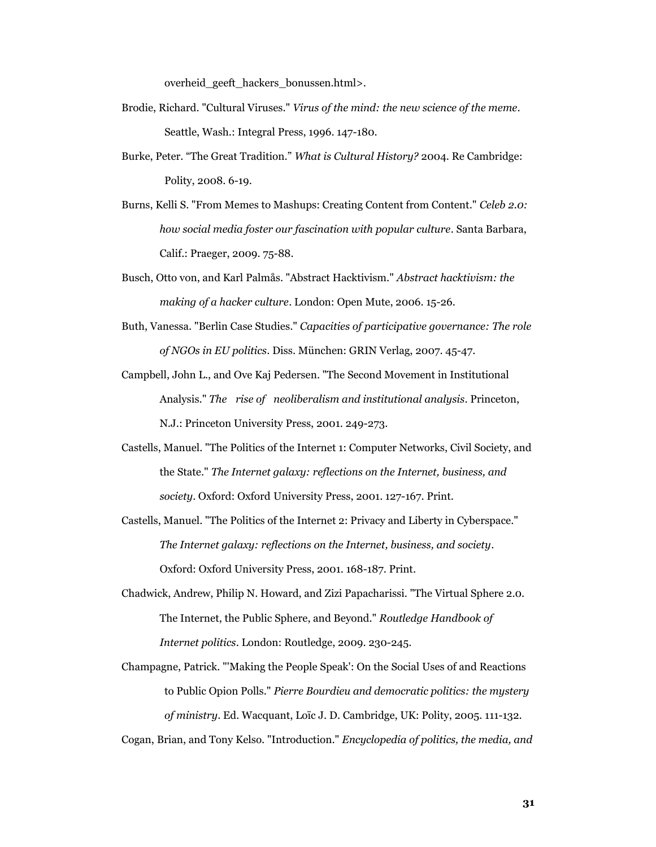overheid\_geeft\_hackers\_bonussen.html>.

- Brodie, Richard. "Cultural Viruses." *Virus of the mind: the new science of the meme*. Seattle, Wash.: Integral Press, 1996. 147-180.
- Burke, Peter. "The Great Tradition." *What is Cultural History?* 2004. Re Cambridge: Polity, 2008. 6-19.
- Burns, Kelli S. "From Memes to Mashups: Creating Content from Content." *Celeb 2.0: how social media foster our fascination with popular culture*. Santa Barbara, Calif.: Praeger, 2009. 75-88.
- Busch, Otto von, and Karl Palmås. "Abstract Hacktivism." *Abstract hacktivism: the making of a hacker culture*. London: Open Mute, 2006. 15-26.
- Buth, Vanessa. "Berlin Case Studies." *Capacities of participative governance: The role of NGOs in EU politics*. Diss. München: GRIN Verlag, 2007. 45-47.
- Campbell, John L., and Ove Kaj Pedersen. "The Second Movement in Institutional Analysis." *The rise of neoliberalism and institutional analysis*. Princeton, N.J.: Princeton University Press, 2001. 249-273.
- Castells, Manuel. "The Politics of the Internet 1: Computer Networks, Civil Society, and the State." *The Internet galaxy: reflections on the Internet, business, and society*. Oxford: Oxford University Press, 2001. 127-167. Print.
- Castells, Manuel. "The Politics of the Internet 2: Privacy and Liberty in Cyberspace." *The Internet galaxy: reflections on the Internet, business, and society*. Oxford: Oxford University Press, 2001. 168-187. Print.
- Chadwick, Andrew, Philip N. Howard, and Zizi Papacharissi. "The Virtual Sphere 2.0. The Internet, the Public Sphere, and Beyond." *Routledge Handbook of Internet politics*. London: Routledge, 2009. 230-245.
- Champagne, Patrick. "'Making the People Speak': On the Social Uses of and Reactions to Public Opion Polls." *Pierre Bourdieu and democratic politics: the mystery of ministry*. Ed. Wacquant, Loïc J. D. Cambridge, UK: Polity, 2005. 111-132.
- Cogan, Brian, and Tony Kelso. "Introduction." *Encyclopedia of politics, the media, and*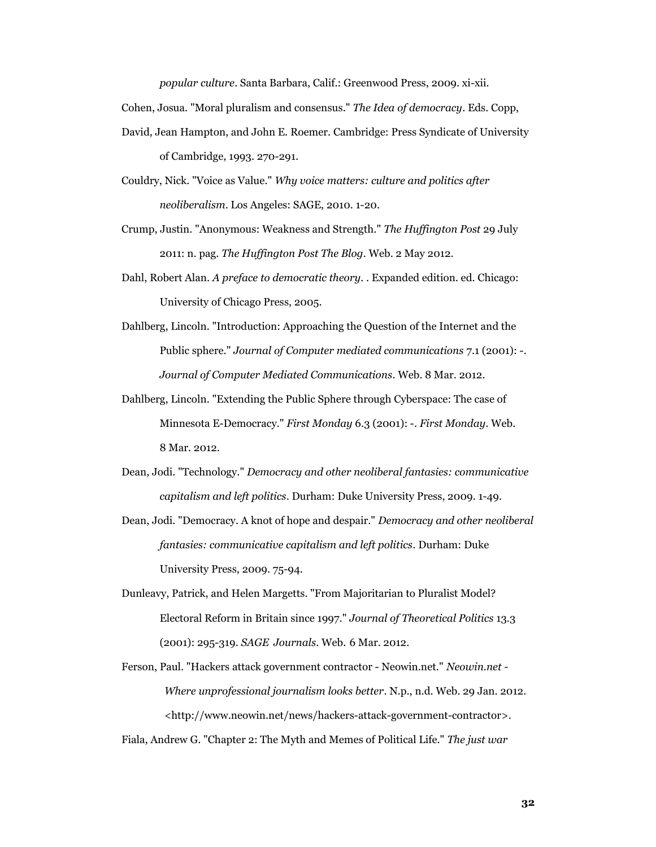*popular culture*. Santa Barbara, Calif.: Greenwood Press, 2009. xi-xii.

Cohen, Josua. "Moral pluralism and consensus." *The Idea of democracy*. Eds. Copp,

- David, Jean Hampton, and John E. Roemer. Cambridge: Press Syndicate of University of Cambridge, 1993. 270-291.
- Couldry, Nick. "Voice as Value." *Why voice matters: culture and politics after neoliberalism*. Los Angeles: SAGE, 2010. 1-20.
- Crump, Justin. "Anonymous: Weakness and Strength." *The Huffington Post* 29 July 2011: n. pag. *The Huffington Post The Blog*. Web. 2 May 2012.
- Dahl, Robert Alan. *A preface to democratic theory.* . Expanded edition. ed. Chicago: University of Chicago Press, 2005.
- Dahlberg, Lincoln. "Introduction: Approaching the Question of the Internet and the Public sphere." *Journal of Computer mediated communications* 7.1 (2001): -. *Journal of Computer Mediated Communications*. Web. 8 Mar. 2012.
- Dahlberg, Lincoln. "Extending the Public Sphere through Cyberspace: The case of Minnesota E-Democracy." *First Monday* 6.3 (2001): -. *First Monday*. Web. 8 Mar. 2012.
- Dean, Jodi. "Technology." *Democracy and other neoliberal fantasies: communicative capitalism and left politics*. Durham: Duke University Press, 2009. 1-49.
- Dean, Jodi. "Democracy. A knot of hope and despair." *Democracy and other neoliberal fantasies: communicative capitalism and left politics*. Durham: Duke University Press, 2009. 75-94.
- Dunleavy, Patrick, and Helen Margetts. "From Majoritarian to Pluralist Model? Electoral Reform in Britain since 1997." *Journal of Theoretical Politics* 13.3 (2001): 295-319. *SAGE Journals*. Web. 6 Mar. 2012.
- Ferson, Paul. "Hackers attack government contractor Neowin.net." *Neowin.net - Where unprofessional journalism looks better*. N.p., n.d. Web. 29 Jan. 2012. <http://www.neowin.net/news/hackers-attack-government-contractor>.

Fiala, Andrew G. "Chapter 2: The Myth and Memes of Political Life." *The just war*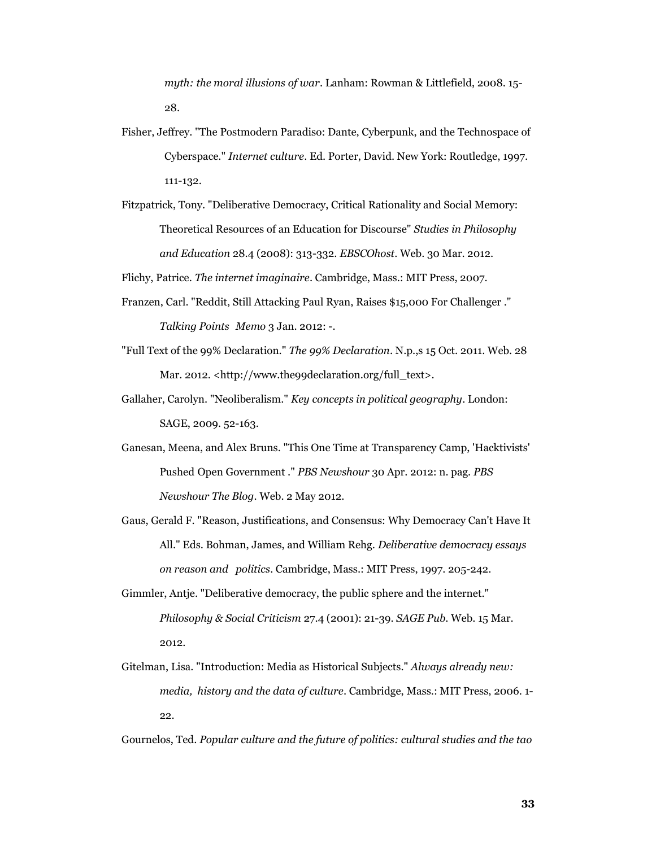*myth: the moral illusions of war*. Lanham: Rowman & Littlefield, 2008. 15- 28.

- Fisher, Jeffrey. "The Postmodern Paradiso: Dante, Cyberpunk, and the Technospace of Cyberspace." *Internet culture*. Ed. Porter, David. New York: Routledge, 1997. 111-132.
- Fitzpatrick, Tony. "Deliberative Democracy, Critical Rationality and Social Memory: Theoretical Resources of an Education for Discourse" *Studies in Philosophy and Education* 28.4 (2008): 313-332. *EBSCOhost*. Web. 30 Mar. 2012.

Flichy, Patrice. *The internet imaginaire*. Cambridge, Mass.: MIT Press, 2007.

- Franzen, Carl. "Reddit, Still Attacking Paul Ryan, Raises \$15,000 For Challenger ." *Talking Points Memo* 3 Jan. 2012: -.
- "Full Text of the 99% Declaration." *The 99% Declaration*. N.p.,s 15 Oct. 2011. Web. 28 Mar. 2012. <http://www.the99declaration.org/full\_text>.
- Gallaher, Carolyn. "Neoliberalism." *Key concepts in political geography*. London: SAGE, 2009. 52-163.
- Ganesan, Meena, and Alex Bruns. "This One Time at Transparency Camp, 'Hacktivists' Pushed Open Government ." *PBS Newshour* 30 Apr. 2012: n. pag. *PBS Newshour The Blog*. Web. 2 May 2012.
- Gaus, Gerald F. "Reason, Justifications, and Consensus: Why Democracy Can't Have It All." Eds. Bohman, James, and William Rehg. *Deliberative democracy essays on reason and politics*. Cambridge, Mass.: MIT Press, 1997. 205-242.
- Gimmler, Antje. "Deliberative democracy, the public sphere and the internet." *Philosophy & Social Criticism* 27.4 (2001): 21-39. *SAGE Pub*. Web. 15 Mar. 2012.
- Gitelman, Lisa. "Introduction: Media as Historical Subjects." *Always already new: media, history and the data of culture*. Cambridge, Mass.: MIT Press, 2006. 1- 22.
- Gournelos, Ted. *Popular culture and the future of politics: cultural studies and the tao*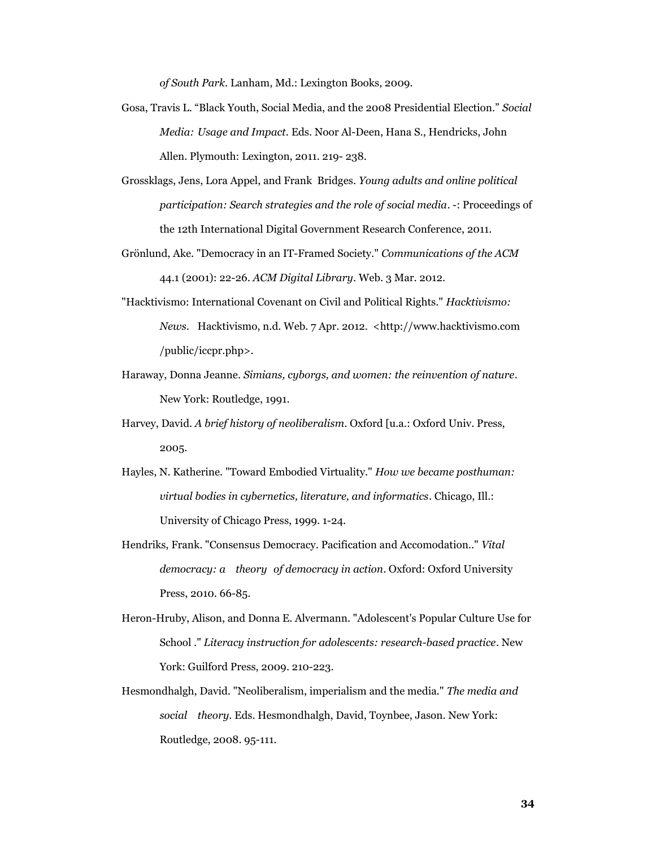*of South Park*. Lanham, Md.: Lexington Books, 2009.

- Gosa, Travis L. "Black Youth, Social Media, and the 2008 Presidential Election." *Social Media: Usage and Impact.* Eds. Noor Al-Deen, Hana S., Hendricks, John Allen. Plymouth: Lexington, 2011. 219- 238.
- Grossklags, Jens, Lora Appel, and Frank Bridges. *Young adults and online political participation: Search strategies and the role of social media*. -: Proceedings of the 12th International Digital Government Research Conference, 2011.
- Grönlund, Ake. "Democracy in an IT-Framed Society." *Communications of the ACM* 44.1 (2001): 22-26. *ACM Digital Library*. Web. 3 Mar. 2012.
- "Hacktivismo: International Covenant on Civil and Political Rights." *Hacktivismo: News*. Hacktivismo, n.d. Web. 7 Apr. 2012. <http://www.hacktivismo.com /public/iccpr.php>.
- Haraway, Donna Jeanne. *Simians, cyborgs, and women: the reinvention of nature*. New York: Routledge, 1991.
- Harvey, David. *A brief history of neoliberalism*. Oxford [u.a.: Oxford Univ. Press, 2005.
- Hayles, N. Katherine. "Toward Embodied Virtuality." *How we became posthuman: virtual bodies in cybernetics, literature, and informatics*. Chicago, Ill.: University of Chicago Press, 1999. 1-24.
- Hendriks, Frank. "Consensus Democracy. Pacification and Accomodation.." *Vital democracy: a theory of democracy in action*. Oxford: Oxford University Press, 2010. 66-85.
- Heron-Hruby, Alison, and Donna E. Alvermann. "Adolescent's Popular Culture Use for School ." *Literacy instruction for adolescents: research-based practice*. New York: Guilford Press, 2009. 210-223.
- Hesmondhalgh, David. "Neoliberalism, imperialism and the media." *The media and social theory*. Eds. Hesmondhalgh, David, Toynbee, Jason. New York: Routledge, 2008. 95-111.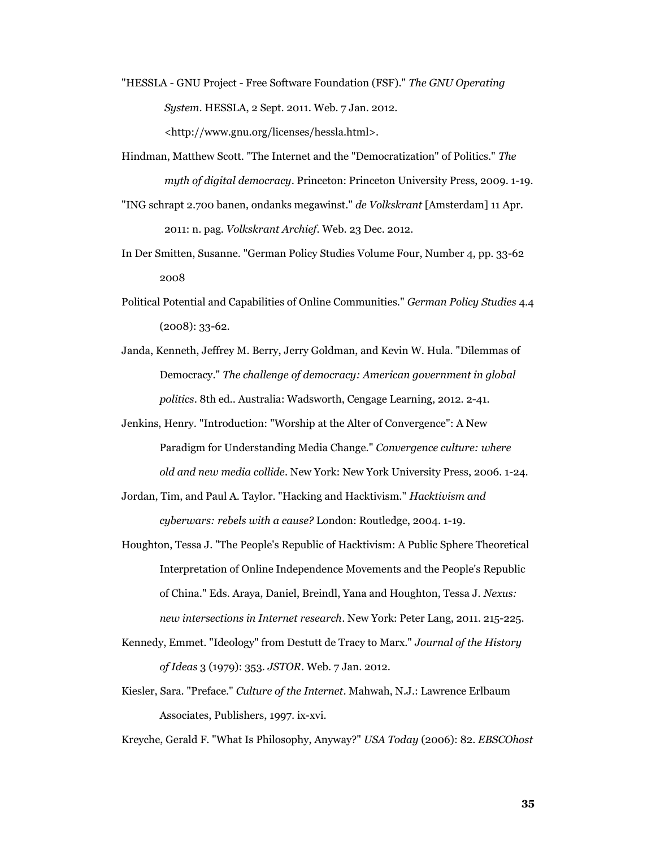- "HESSLA GNU Project Free Software Foundation (FSF)." *The GNU Operating System*. HESSLA, 2 Sept. 2011. Web. 7 Jan. 2012. <http://www.gnu.org/licenses/hessla.html>.
- Hindman, Matthew Scott. "The Internet and the "Democratization" of Politics." *The myth of digital democracy*. Princeton: Princeton University Press, 2009. 1-19.
- "ING schrapt 2.700 banen, ondanks megawinst." *de Volkskrant* [Amsterdam] 11 Apr. 2011: n. pag. *Volkskrant Archief*. Web. 23 Dec. 2012.
- In Der Smitten, Susanne. "German Policy Studies Volume Four, Number 4, pp. 33-62 2008
- Political Potential and Capabilities of Online Communities." *German Policy Studies* 4.4 (2008): 33-62.
- Janda, Kenneth, Jeffrey M. Berry, Jerry Goldman, and Kevin W. Hula. "Dilemmas of Democracy." *The challenge of democracy: American government in global politics*. 8th ed.. Australia: Wadsworth, Cengage Learning, 2012. 2-41.
- Jenkins, Henry. "Introduction: "Worship at the Alter of Convergence": A New Paradigm for Understanding Media Change." *Convergence culture: where old and new media collide*. New York: New York University Press, 2006. 1-24.
- Jordan, Tim, and Paul A. Taylor. "Hacking and Hacktivism." *Hacktivism and cyberwars: rebels with a cause?* London: Routledge, 2004. 1-19.
- Houghton, Tessa J. "The People's Republic of Hacktivism: A Public Sphere Theoretical Interpretation of Online Independence Movements and the People's Republic of China." Eds. Araya, Daniel, Breindl, Yana and Houghton, Tessa J. *Nexus: new intersections in Internet research*. New York: Peter Lang, 2011. 215-225.
- Kennedy, Emmet. "Ideology" from Destutt de Tracy to Marx." *Journal of the History of Ideas* 3 (1979): 353. *JSTOR*. Web. 7 Jan. 2012.
- Kiesler, Sara. "Preface." *Culture of the Internet*. Mahwah, N.J.: Lawrence Erlbaum Associates, Publishers, 1997. ix-xvi.

Kreyche, Gerald F. "What Is Philosophy, Anyway?" *USA Today* (2006): 82. *EBSCOhost*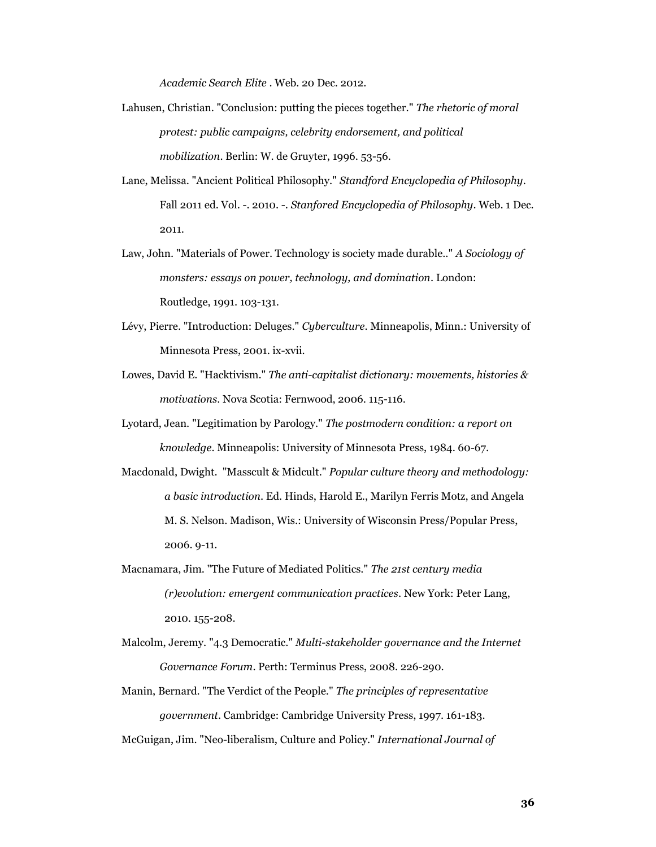*Academic Search Elite* . Web. 20 Dec. 2012.

- Lahusen, Christian. "Conclusion: putting the pieces together." *The rhetoric of moral protest: public campaigns, celebrity endorsement, and political mobilization*. Berlin: W. de Gruyter, 1996. 53-56.
- Lane, Melissa. "Ancient Political Philosophy." *Standford Encyclopedia of Philosophy*. Fall 2011 ed. Vol. -. 2010. -. *Stanfored Encyclopedia of Philosophy*. Web. 1 Dec. 2011.
- Law, John. "Materials of Power. Technology is society made durable.." *A Sociology of monsters: essays on power, technology, and domination*. London: Routledge, 1991. 103-131.
- Lévy, Pierre. "Introduction: Deluges." *Cyberculture*. Minneapolis, Minn.: University of Minnesota Press, 2001. ix-xvii.
- Lowes, David E. "Hacktivism." *The anti-capitalist dictionary: movements, histories & motivations*. Nova Scotia: Fernwood, 2006. 115-116.
- Lyotard, Jean. "Legitimation by Parology." *The postmodern condition: a report on knowledge*. Minneapolis: University of Minnesota Press, 1984. 60-67.
- Macdonald, Dwight. "Masscult & Midcult." *Popular culture theory and methodology: a basic introduction*. Ed. Hinds, Harold E., Marilyn Ferris Motz, and Angela M. S. Nelson. Madison, Wis.: University of Wisconsin Press/Popular Press, 2006. 9-11.
- Macnamara, Jim. "The Future of Mediated Politics." *The 21st century media (r)evolution: emergent communication practices*. New York: Peter Lang, 2010. 155-208.
- Malcolm, Jeremy. "4.3 Democratic." *Multi-stakeholder governance and the Internet Governance Forum*. Perth: Terminus Press, 2008. 226-290.
- Manin, Bernard. "The Verdict of the People." *The principles of representative government*. Cambridge: Cambridge University Press, 1997. 161-183.
- McGuigan, Jim. "Neo-liberalism, Culture and Policy." *International Journal of*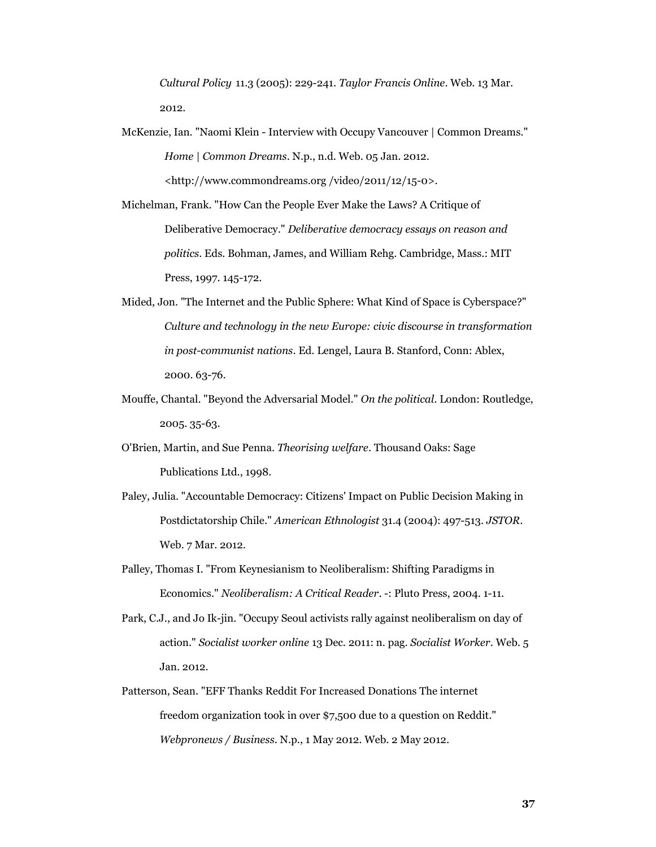*Cultural Policy* 11.3 (2005): 229-241. *Taylor Francis Online*. Web. 13 Mar. 2012.

- McKenzie, Ian. "Naomi Klein Interview with Occupy Vancouver | Common Dreams." *Home | Common Dreams*. N.p., n.d. Web. 05 Jan. 2012. <http://www.commondreams.org /video/2011/12/15-0>.
- Michelman, Frank. "How Can the People Ever Make the Laws? A Critique of Deliberative Democracy." *Deliberative democracy essays on reason and politics*. Eds. Bohman, James, and William Rehg. Cambridge, Mass.: MIT Press, 1997. 145-172.
- Mided, Jon. "The Internet and the Public Sphere: What Kind of Space is Cyberspace?" *Culture and technology in the new Europe: civic discourse in transformation in post-communist nations*. Ed. Lengel, Laura B. Stanford, Conn: Ablex, 2000. 63-76.
- Mouffe, Chantal. "Beyond the Adversarial Model." *On the political*. London: Routledge, 2005. 35-63.
- O'Brien, Martin, and Sue Penna. *Theorising welfare*. Thousand Oaks: Sage Publications Ltd., 1998.
- Paley, Julia. "Accountable Democracy: Citizens' Impact on Public Decision Making in Postdictatorship Chile." *American Ethnologist* 31.4 (2004): 497-513. *JSTOR*. Web. 7 Mar. 2012.
- Palley, Thomas I. "From Keynesianism to Neoliberalism: Shifting Paradigms in Economics." *Neoliberalism: A Critical Reader*. -: Pluto Press, 2004. 1-11.
- Park, C.J., and Jo Ik-jin. "Occupy Seoul activists rally against neoliberalism on day of action." *Socialist worker online* 13 Dec. 2011: n. pag. *Socialist Worker*. Web. 5 Jan. 2012.
- Patterson, Sean. "EFF Thanks Reddit For Increased Donations The internet freedom organization took in over \$7,500 due to a question on Reddit." *Webpronews / Business*. N.p., 1 May 2012. Web. 2 May 2012.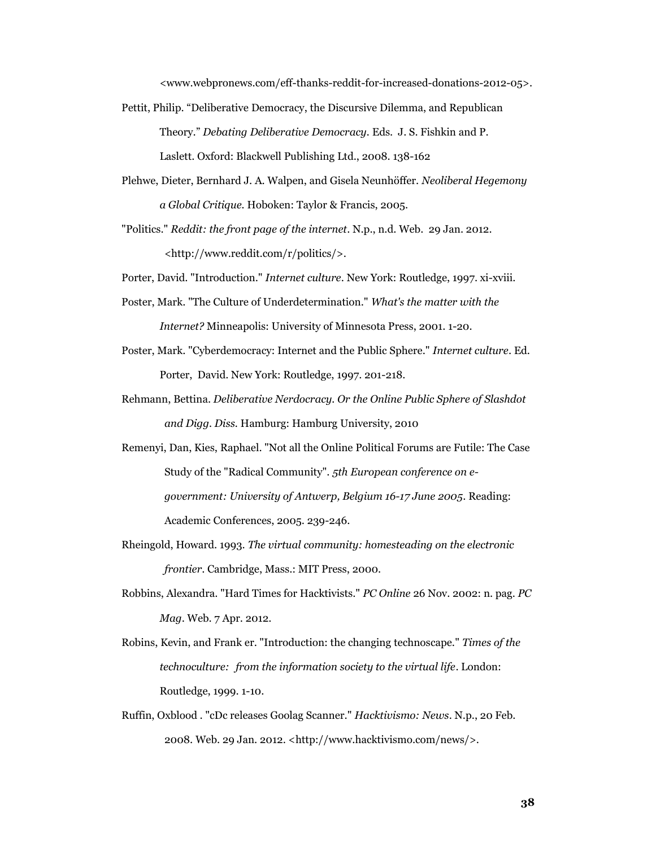<www.webpronews.com/eff-thanks-reddit-for-increased-donations-2012-05>.

- Pettit, Philip. "Deliberative Democracy, the Discursive Dilemma, and Republican Theory." *Debating Deliberative Democracy.* Eds. J. S. Fishkin and P. Laslett. Oxford: Blackwell Publishing Ltd., 2008. 138-162
- Plehwe, Dieter, Bernhard J. A. Walpen, and Gisela Neunhöffer. *Neoliberal Hegemony a Global Critique.* Hoboken: Taylor & Francis, 2005.

"Politics." *Reddit: the front page of the internet*. N.p., n.d. Web. 29 Jan. 2012. <http://www.reddit.com/r/politics/>.

Porter, David. "Introduction." *Internet culture*. New York: Routledge, 1997. xi-xviii.

- Poster, Mark. "The Culture of Underdetermination." *What's the matter with the Internet?* Minneapolis: University of Minnesota Press, 2001. 1-20.
- Poster, Mark. "Cyberdemocracy: Internet and the Public Sphere." *Internet culture*. Ed. Porter, David. New York: Routledge, 1997. 201-218.
- Rehmann, Bettina. *Deliberative Nerdocracy. Or the Online Public Sphere of Slashdot and Digg. Diss.* Hamburg: Hamburg University, 2010
- Remenyi, Dan, Kies, Raphael. "Not all the Online Political Forums are Futile: The Case Study of the "Radical Community". *5th European conference on egovernment: University of Antwerp, Belgium 16-17 June 2005*. Reading: Academic Conferences, 2005. 239-246.
- Rheingold, Howard. 1993. *The virtual community: homesteading on the electronic frontier*. Cambridge, Mass.: MIT Press, 2000.
- Robbins, Alexandra. "Hard Times for Hacktivists." *PC Online* 26 Nov. 2002: n. pag. *PC Mag*. Web. 7 Apr. 2012.
- Robins, Kevin, and Frank er. "Introduction: the changing technoscape." *Times of the technoculture: from the information society to the virtual life*. London: Routledge, 1999. 1-10.
- Ruffin, Oxblood . "cDc releases Goolag Scanner." *Hacktivismo: News*. N.p., 20 Feb. 2008. Web. 29 Jan. 2012. <http://www.hacktivismo.com/news/>.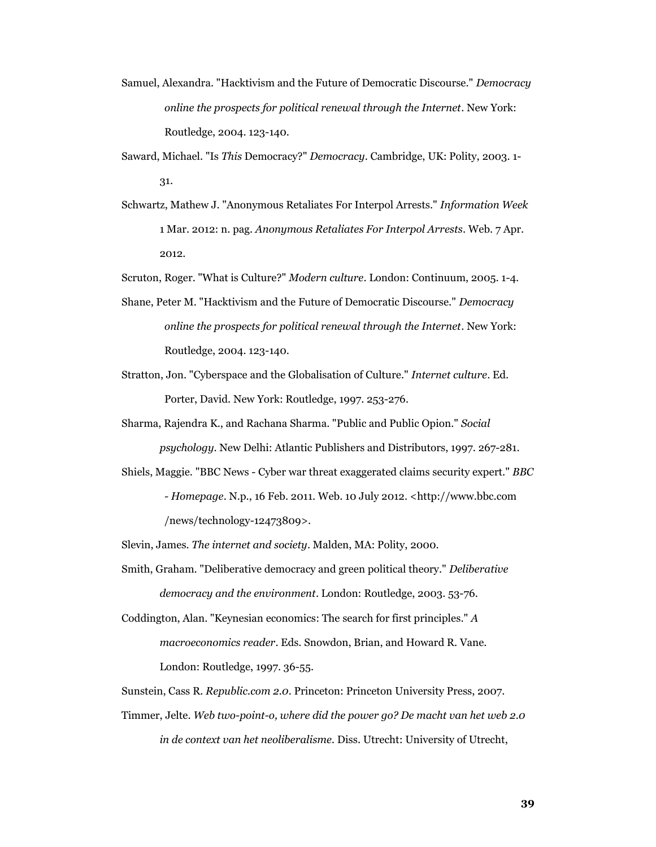- Samuel, Alexandra. "Hacktivism and the Future of Democratic Discourse." *Democracy online the prospects for political renewal through the Internet*. New York: Routledge, 2004. 123-140.
- Saward, Michael. "Is *This* Democracy?" *Democracy*. Cambridge, UK: Polity, 2003. 1- 31.
- Schwartz, Mathew J. "Anonymous Retaliates For Interpol Arrests." *Information Week* 1 Mar. 2012: n. pag. *Anonymous Retaliates For Interpol Arrests*. Web. 7 Apr. 2012.

Scruton, Roger. "What is Culture?" *Modern culture*. London: Continuum, 2005. 1-4.

- Shane, Peter M. "Hacktivism and the Future of Democratic Discourse." *Democracy online the prospects for political renewal through the Internet*. New York: Routledge, 2004. 123-140.
- Stratton, Jon. "Cyberspace and the Globalisation of Culture." *Internet culture*. Ed. Porter, David. New York: Routledge, 1997. 253-276.
- Sharma, Rajendra K., and Rachana Sharma. "Public and Public Opion." *Social psychology*. New Delhi: Atlantic Publishers and Distributors, 1997. 267-281.
- Shiels, Maggie. "BBC News Cyber war threat exaggerated claims security expert." *BBC - Homepage*. N.p., 16 Feb. 2011. Web. 10 July 2012. <http://www.bbc.com /news/technology-12473809>.

Slevin, James. *The internet and society*. Malden, MA: Polity, 2000.

Smith, Graham. "Deliberative democracy and green political theory." *Deliberative democracy and the environment*. London: Routledge, 2003. 53-76.

Coddington, Alan. "Keynesian economics: The search for first principles." *A macroeconomics reader*. Eds. Snowdon, Brian, and Howard R. Vane. London: Routledge, 1997. 36-55.

Sunstein, Cass R. *Republic.com 2.0*. Princeton: Princeton University Press, 2007.

Timmer, Jelte. *Web two-point-o, where did the power go? De macht van het web 2.0 in de context van het neoliberalisme.* Diss. Utrecht: University of Utrecht,